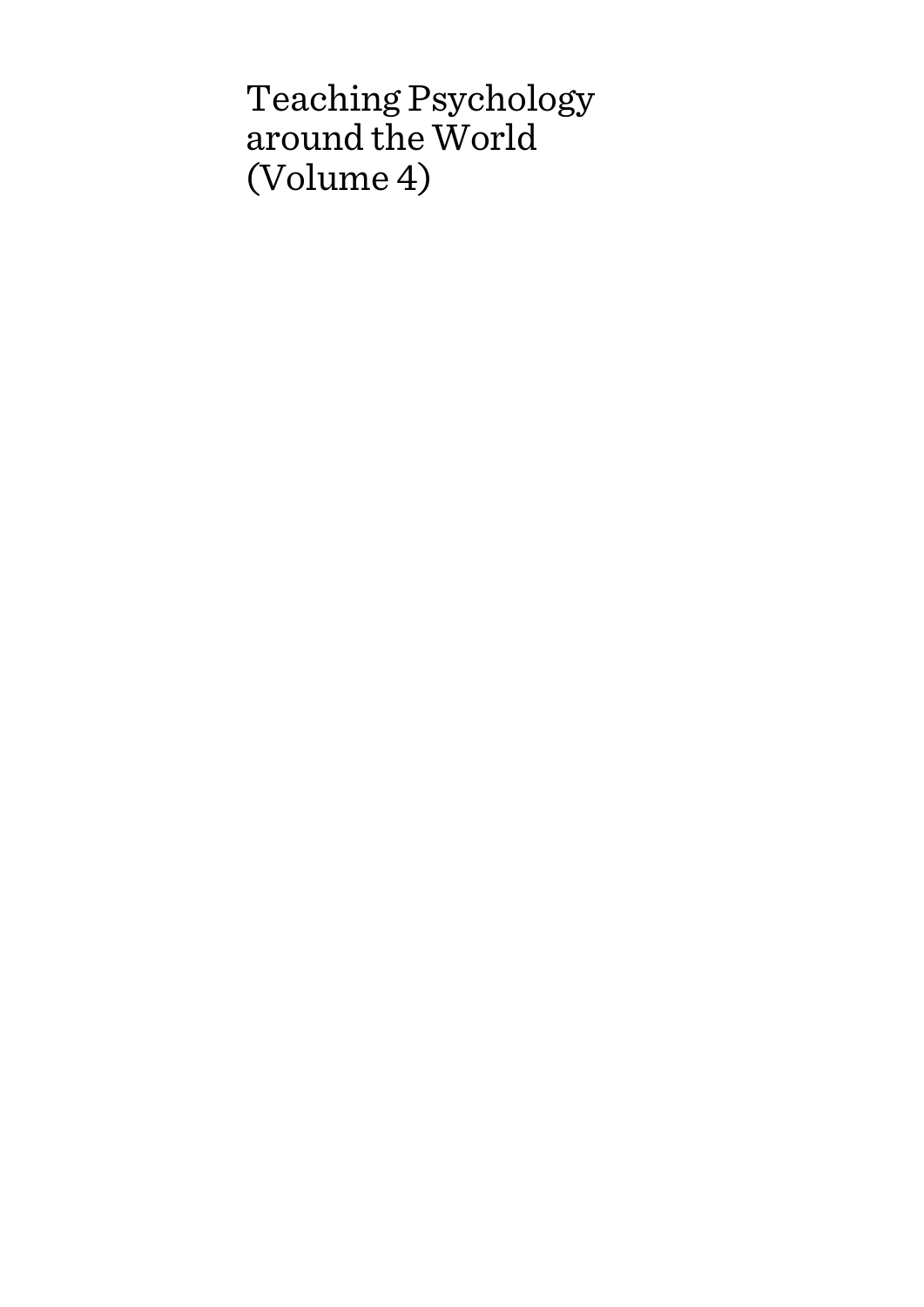# Teaching Psychology around the World (Volume 4)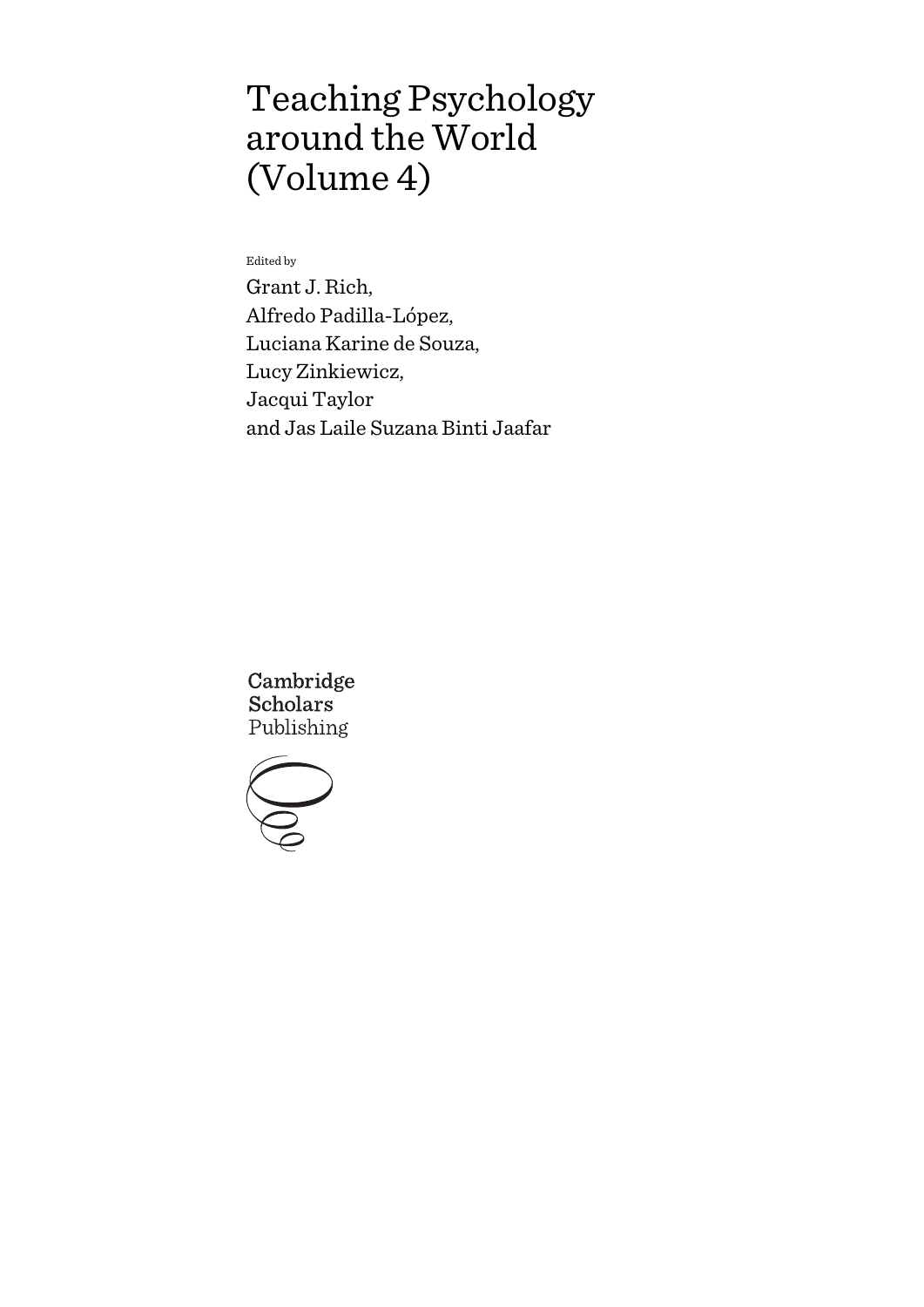# Teaching Psychology around the World (Volume 4)

Edited by

Grant J. Rich, Alfredo Padilla-López, Luciana Karine de Souza, Lucy Zinkiewicz, Jacqui Taylor and Jas Laile Suzana Binti Jaafar

Cambridge **Scholars** Publishing

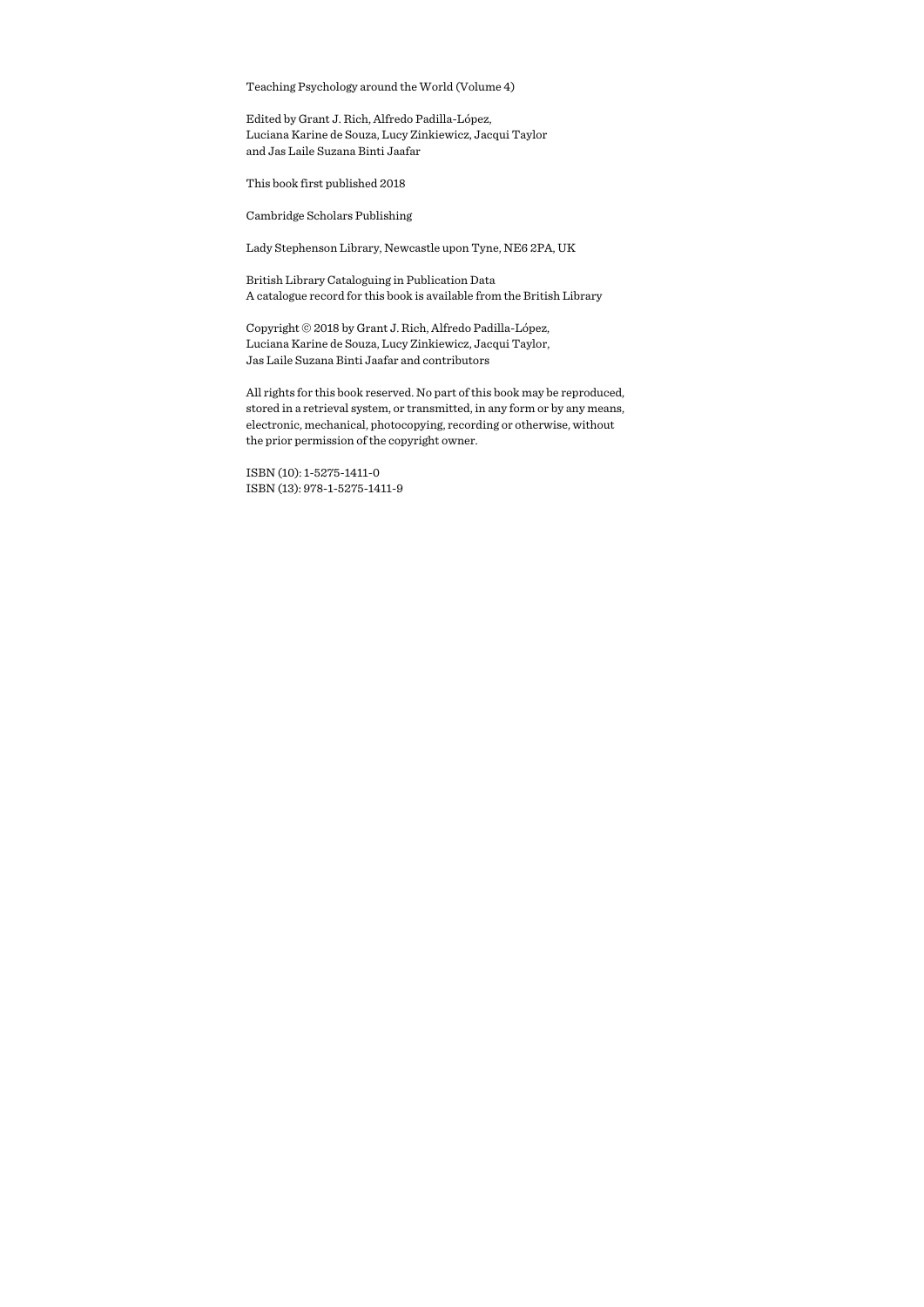Teaching Psychology around the World (Volume 4)

Edited by Grant J. Rich, Alfredo Padilla-López, Luciana Karine de Souza, Lucy Zinkiewicz, Jacqui Taylor and Jas Laile Suzana Binti Jaafar

This book first published 2018

Cambridge Scholars Publishing

Lady Stephenson Library, Newcastle upon Tyne, NE6 2PA, UK

British Library Cataloguing in Publication Data A catalogue record for this book is available from the British Library

Copyright © 2018 by Grant J. Rich, Alfredo Padilla-López, Luciana Karine de Souza, Lucy Zinkiewicz, Jacqui Taylor, Jas Laile Suzana Binti Jaafar and contributors

All rights for this book reserved. No part of this book may be reproduced, stored in a retrieval system, or transmitted, in any form or by any means, electronic, mechanical, photocopying, recording or otherwise, without the prior permission of the copyright owner.

ISBN (10): 1-5275-1411-0 ISBN (13): 978-1-5275-1411-9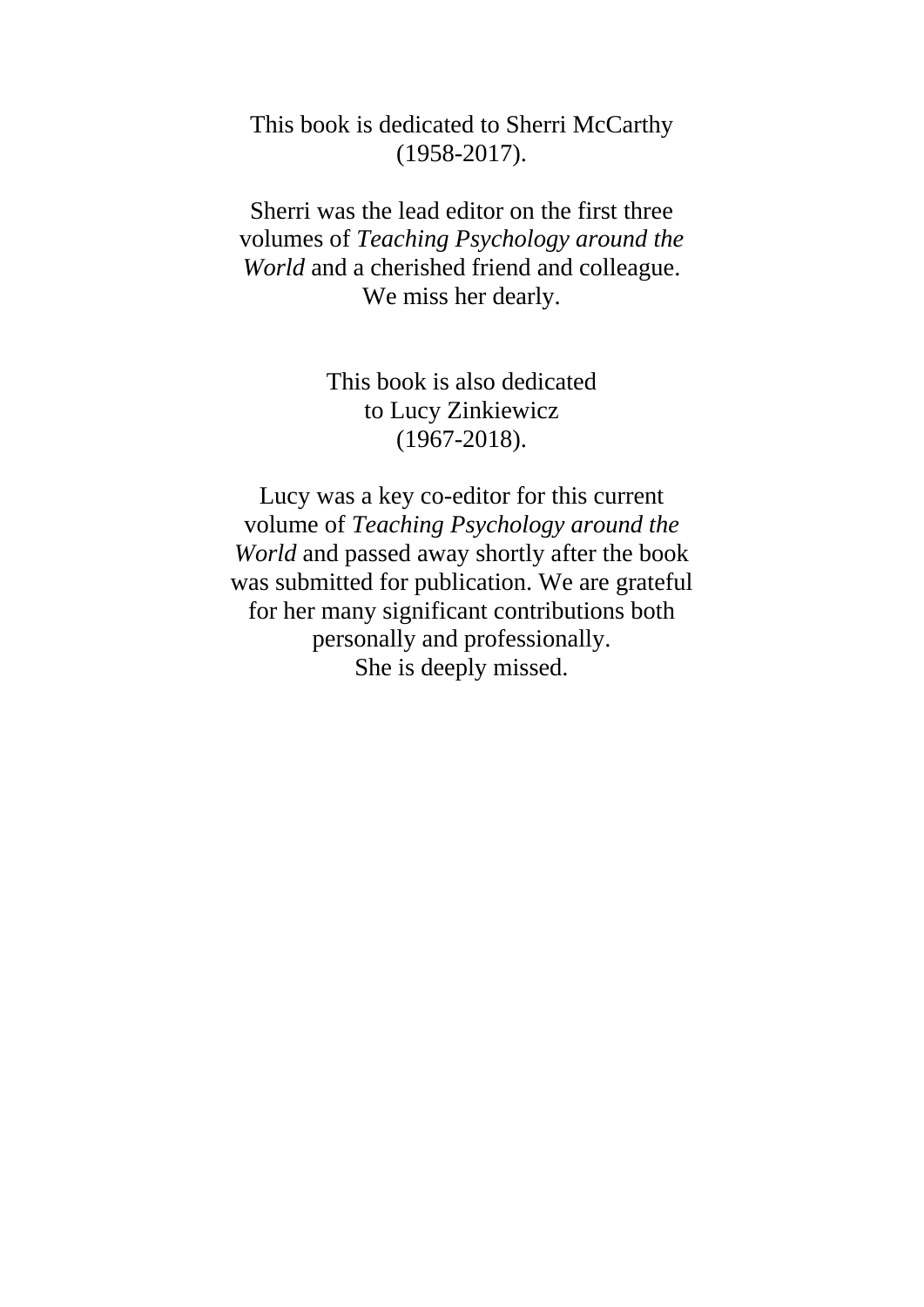## This book is dedicated to Sherri McCarthy (1958-2017).

Sherri was the lead editor on the first three volumes of *Teaching Psychology around the World* and a cherished friend and colleague. We miss her dearly.

> This book is also dedicated to Lucy Zinkiewicz (1967-2018).

Lucy was a key co-editor for this current volume of *Teaching Psychology around the World* and passed away shortly after the book was submitted for publication. We are grateful for her many significant contributions both personally and professionally. She is deeply missed.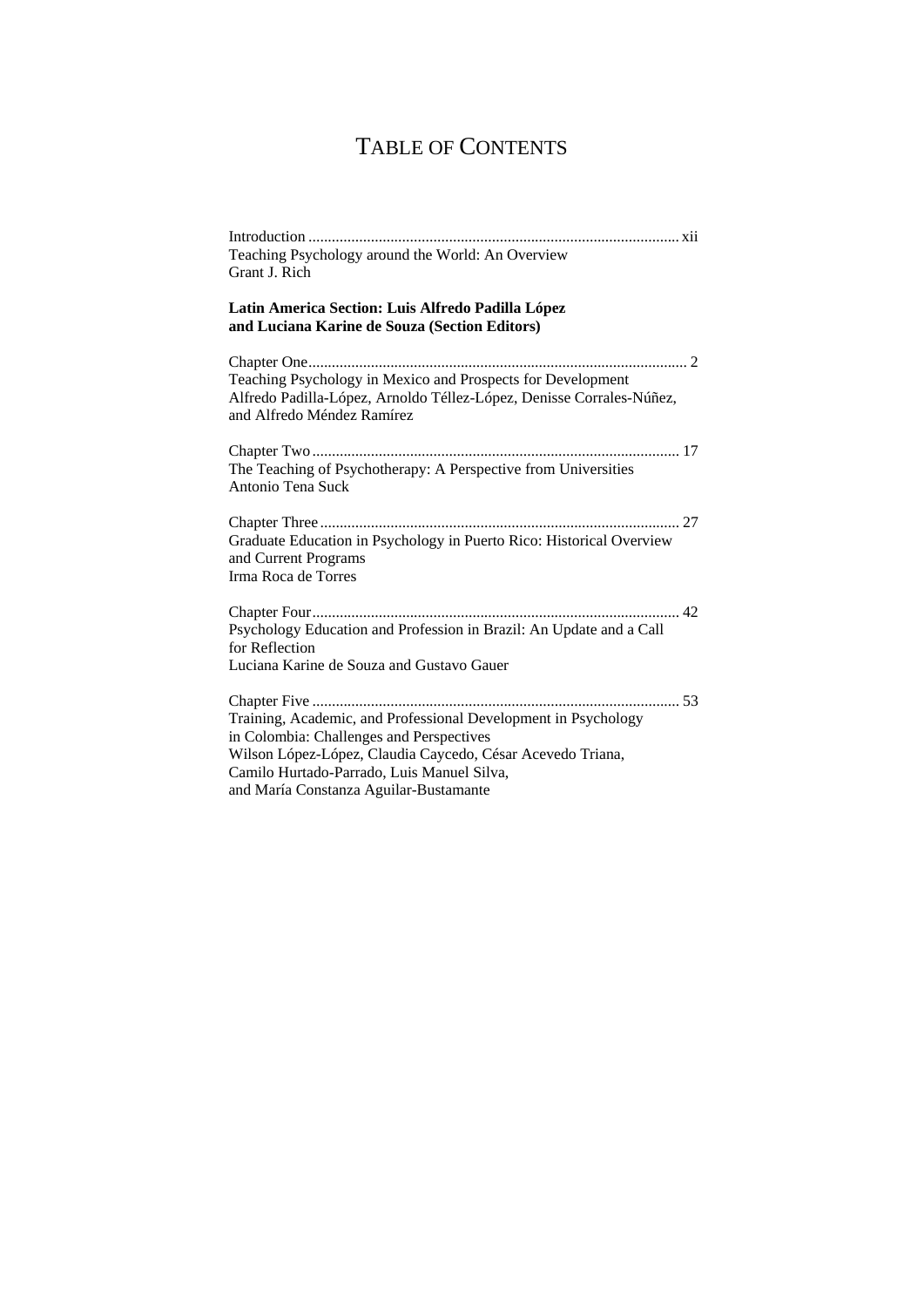# TABLE OF CONTENTS

| Teaching Psychology around the World: An Overview<br>Grant J. Rich                                                                                                                                                                                               |
|------------------------------------------------------------------------------------------------------------------------------------------------------------------------------------------------------------------------------------------------------------------|
| Latin America Section: Luis Alfredo Padilla López<br>and Luciana Karine de Souza (Section Editors)                                                                                                                                                               |
| Teaching Psychology in Mexico and Prospects for Development<br>Alfredo Padilla-López, Arnoldo Téllez-López, Denisse Corrales-Núñez,<br>and Alfredo Méndez Ramírez                                                                                                |
| The Teaching of Psychotherapy: A Perspective from Universities<br>Antonio Tena Suck                                                                                                                                                                              |
| Graduate Education in Psychology in Puerto Rico: Historical Overview<br>and Current Programs<br>Irma Roca de Torres                                                                                                                                              |
| Psychology Education and Profession in Brazil: An Update and a Call<br>for Reflection<br>Luciana Karine de Souza and Gustavo Gauer                                                                                                                               |
| Training, Academic, and Professional Development in Psychology<br>in Colombia: Challenges and Perspectives<br>Wilson López-López, Claudia Caycedo, César Acevedo Triana,<br>Camilo Hurtado-Parrado, Luis Manuel Silva,<br>and María Constanza Aguilar-Bustamante |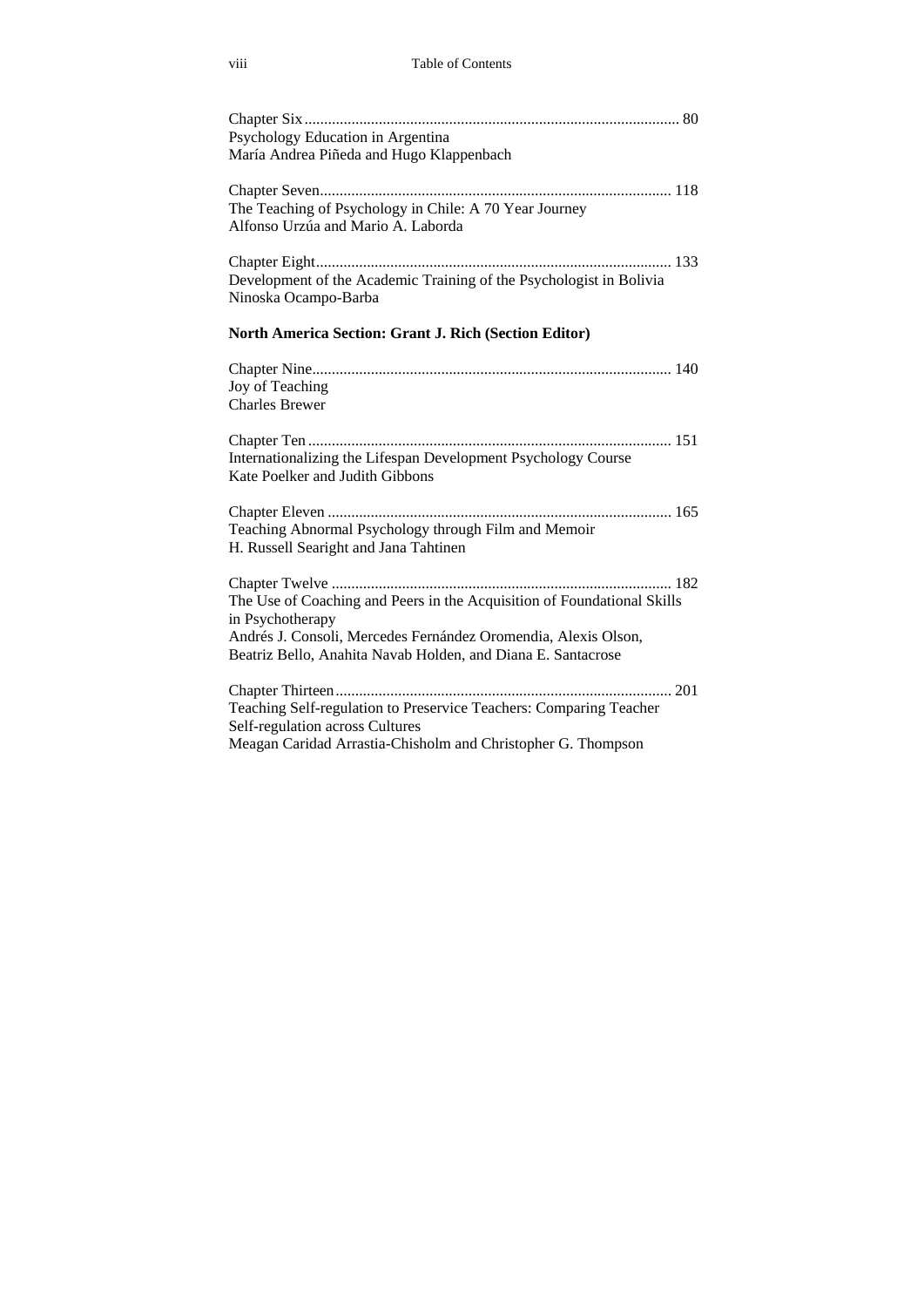| Psychology Education in Argentina                                                                |  |
|--------------------------------------------------------------------------------------------------|--|
| María Andrea Piñeda and Hugo Klappenbach                                                         |  |
|                                                                                                  |  |
| The Teaching of Psychology in Chile: A 70 Year Journey                                           |  |
| Alfonso Urzúa and Mario A. Laborda                                                               |  |
|                                                                                                  |  |
| Development of the Academic Training of the Psychologist in Bolivia                              |  |
| Ninoska Ocampo-Barba                                                                             |  |
| <b>North America Section: Grant J. Rich (Section Editor)</b>                                     |  |
|                                                                                                  |  |
| Joy of Teaching                                                                                  |  |
| <b>Charles Brewer</b>                                                                            |  |
| Internationalizing the Lifespan Development Psychology Course<br>Kate Poelker and Judith Gibbons |  |
|                                                                                                  |  |
| Teaching Abnormal Psychology through Film and Memoir<br>H. Russell Searight and Jana Tahtinen    |  |
|                                                                                                  |  |
| The Use of Coaching and Peers in the Acquisition of Foundational Skills                          |  |
| in Psychotherapy                                                                                 |  |
| Andrés J. Consoli, Mercedes Fernández Oromendia, Alexis Olson,                                   |  |
| Beatriz Bello, Anahita Navab Holden, and Diana E. Santacrose                                     |  |
|                                                                                                  |  |
| Teaching Self-regulation to Preservice Teachers: Comparing Teacher                               |  |
| Self-regulation across Cultures                                                                  |  |
| Meagan Caridad Arrastia-Chisholm and Christopher G. Thompson                                     |  |
|                                                                                                  |  |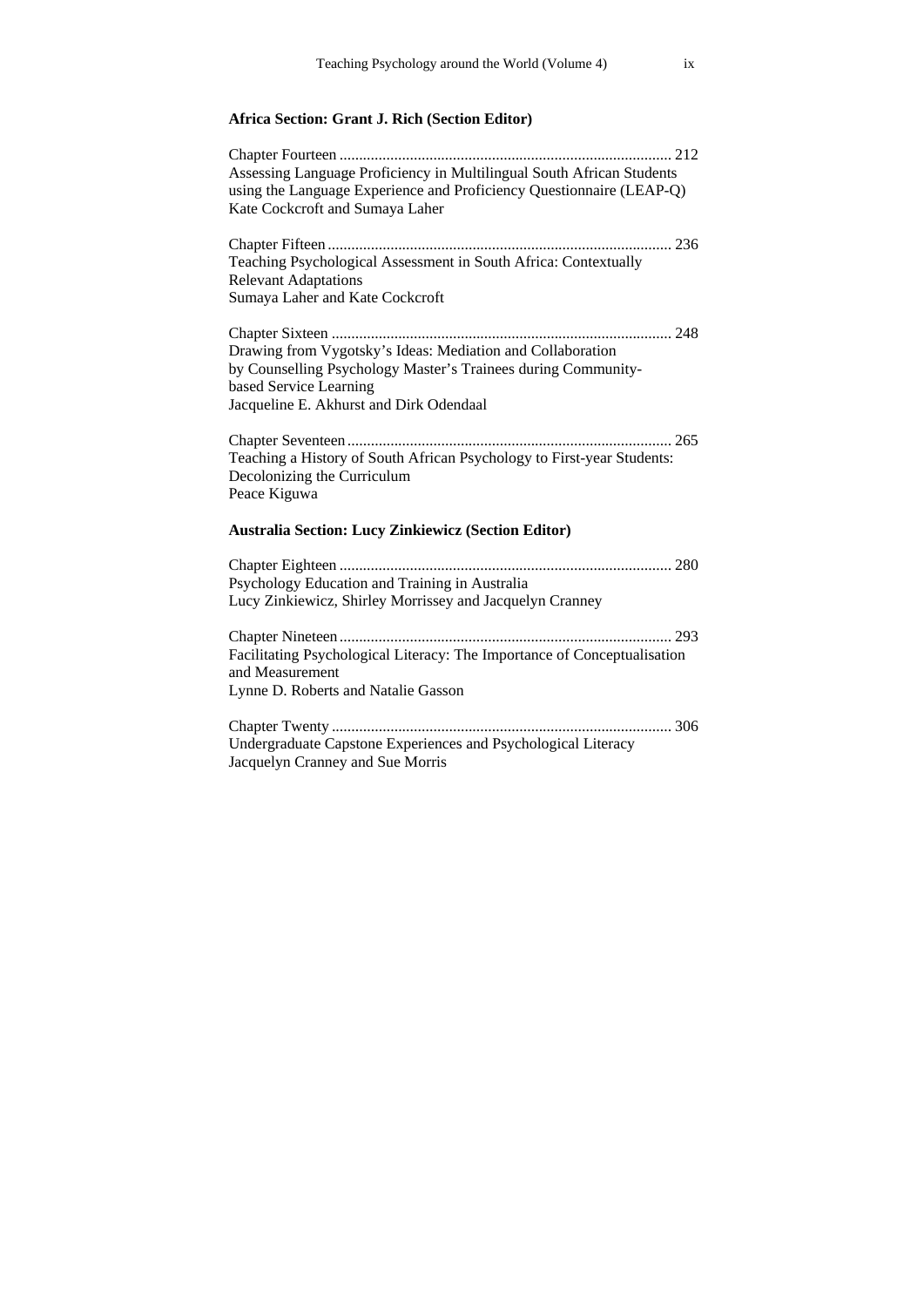## **Africa Section: Grant J. Rich (Section Editor)**

| Assessing Language Proficiency in Multilingual South African Students<br>using the Language Experience and Proficiency Questionnaire (LEAP-Q)                                                    |
|--------------------------------------------------------------------------------------------------------------------------------------------------------------------------------------------------|
| Kate Cockcroft and Sumaya Laher                                                                                                                                                                  |
| Teaching Psychological Assessment in South Africa: Contextually<br><b>Relevant Adaptations</b><br>Sumaya Laher and Kate Cockcroft                                                                |
| Drawing from Vygotsky's Ideas: Mediation and Collaboration<br>by Counselling Psychology Master's Trainees during Community-<br>based Service Learning<br>Jacqueline E. Akhurst and Dirk Odendaal |
| Teaching a History of South African Psychology to First-year Students:<br>Decolonizing the Curriculum<br>Peace Kiguwa                                                                            |
| <b>Australia Section: Lucy Zinkiewicz (Section Editor)</b>                                                                                                                                       |
|                                                                                                                                                                                                  |
| Psychology Education and Training in Australia<br>Lucy Zinkiewicz, Shirley Morrissey and Jacquelyn Cranney                                                                                       |
| Facilitating Psychological Literacy: The Importance of Conceptualisation<br>and Measurement<br>Lynne D. Roberts and Natalie Gasson                                                               |
| Undergraduate Capstone Experiences and Psychological Literacy<br>Jacquelyn Cranney and Sue Morris                                                                                                |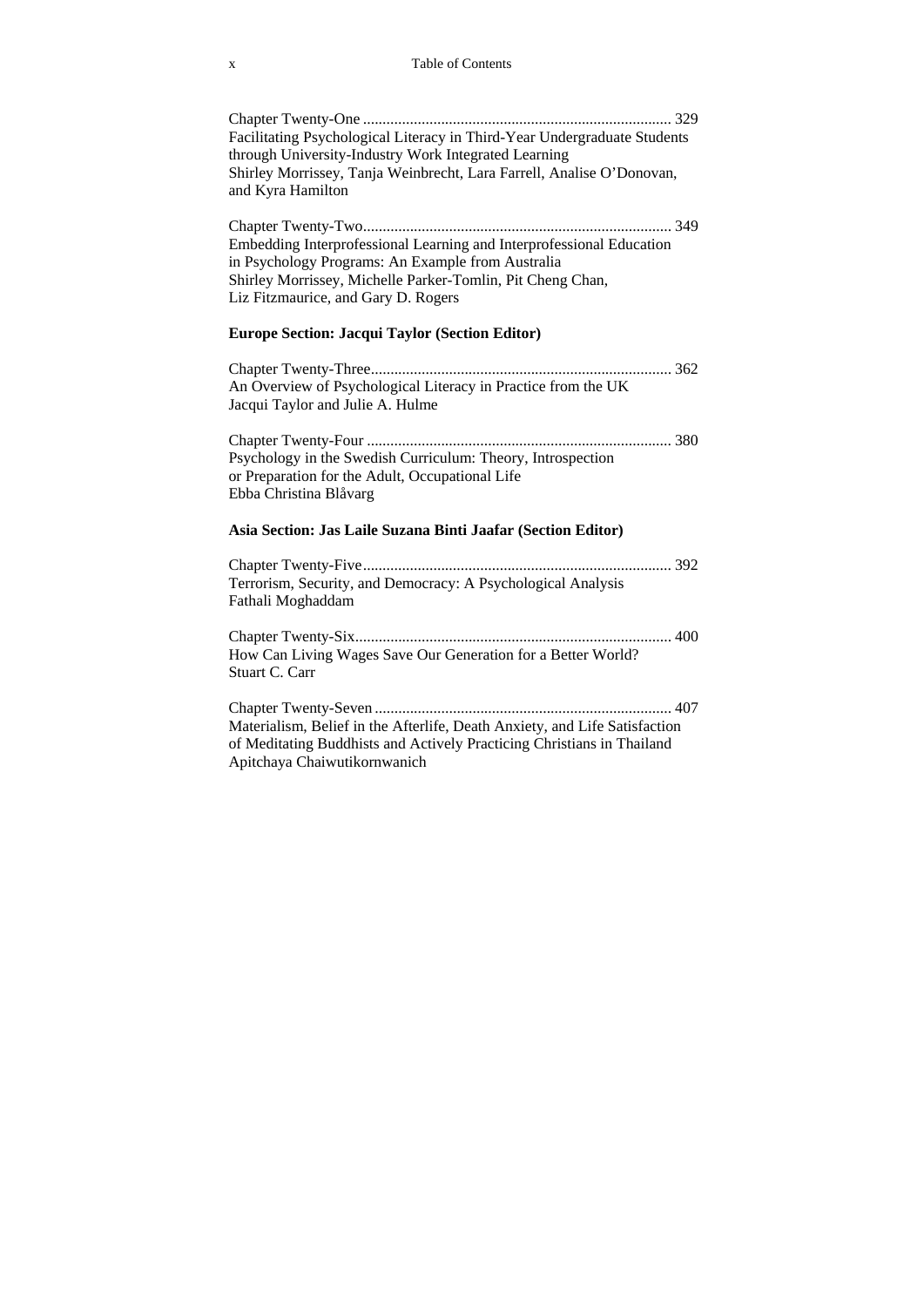Chapter Twenty-One ............................................................................... 329 Facilitating Psychological Literacy in Third-Year Undergraduate Students through University-Industry Work Integrated Learning Shirley Morrissey, Tanja Weinbrecht, Lara Farrell, Analise O'Donovan, and Kyra Hamilton

Chapter Twenty-Two ............................................................................... 349 Embedding Interprofessional Learning and Interprofessional Education in Psychology Programs: An Example from Australia Shirley Morrissey, Michelle Parker-Tomlin, Pit Cheng Chan, Liz Fitzmaurice, and Gary D. Rogers

### **Europe Section: Jacqui Taylor (Section Editor)**

Chapter Twenty-Three ............................................................................. 362 An Overview of Psychological Literacy in Practice from the UK Jacqui Taylor and Julie A. Hulme

Chapter Twenty-Four .............................................................................. 380 Psychology in the Swedish Curriculum: Theory, Introspection or Preparation for the Adult, Occupational Life Ebba Christina Blåvarg

### **Asia Section: Jas Laile Suzana Binti Jaafar (Section Editor)**

Chapter Twenty-Five ............................................................................... 392 Terrorism, Security, and Democracy: A Psychological Analysis Fathali Moghaddam

Chapter Twenty-Six ................................................................................. 400 How Can Living Wages Save Our Generation for a Better World? Stuart C. Carr

Chapter Twenty-Seven ............................................................................ 407 Materialism, Belief in the Afterlife, Death Anxiety, and Life Satisfaction of Meditating Buddhists and Actively Practicing Christians in Thailand Apitchaya Chaiwutikornwanich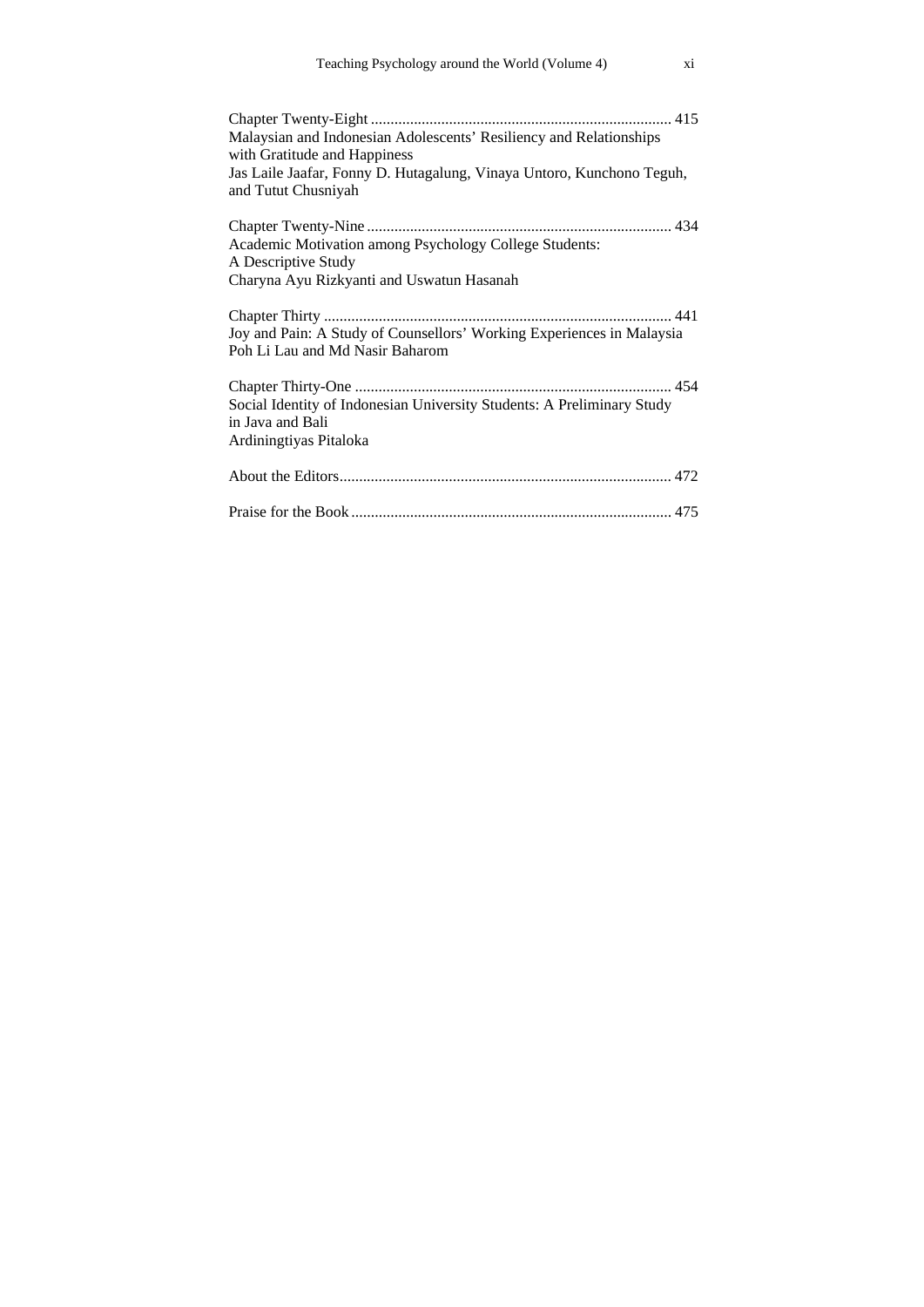| Malaysian and Indonesian Adolescents' Resiliency and Relationships<br>with Gratitude and Happiness<br>Jas Laile Jaafar, Fonny D. Hutagalung, Vinaya Untoro, Kunchono Teguh,<br>and Tutut Chusniyah |
|----------------------------------------------------------------------------------------------------------------------------------------------------------------------------------------------------|
| Academic Motivation among Psychology College Students:<br>A Descriptive Study<br>Charyna Ayu Rizkyanti and Uswatun Hasanah                                                                         |
| Joy and Pain: A Study of Counsellors' Working Experiences in Malaysia<br>Poh Li Lau and Md Nasir Baharom                                                                                           |
| Social Identity of Indonesian University Students: A Preliminary Study<br>in Java and Bali<br>Ardiningtiyas Pitaloka                                                                               |
|                                                                                                                                                                                                    |
|                                                                                                                                                                                                    |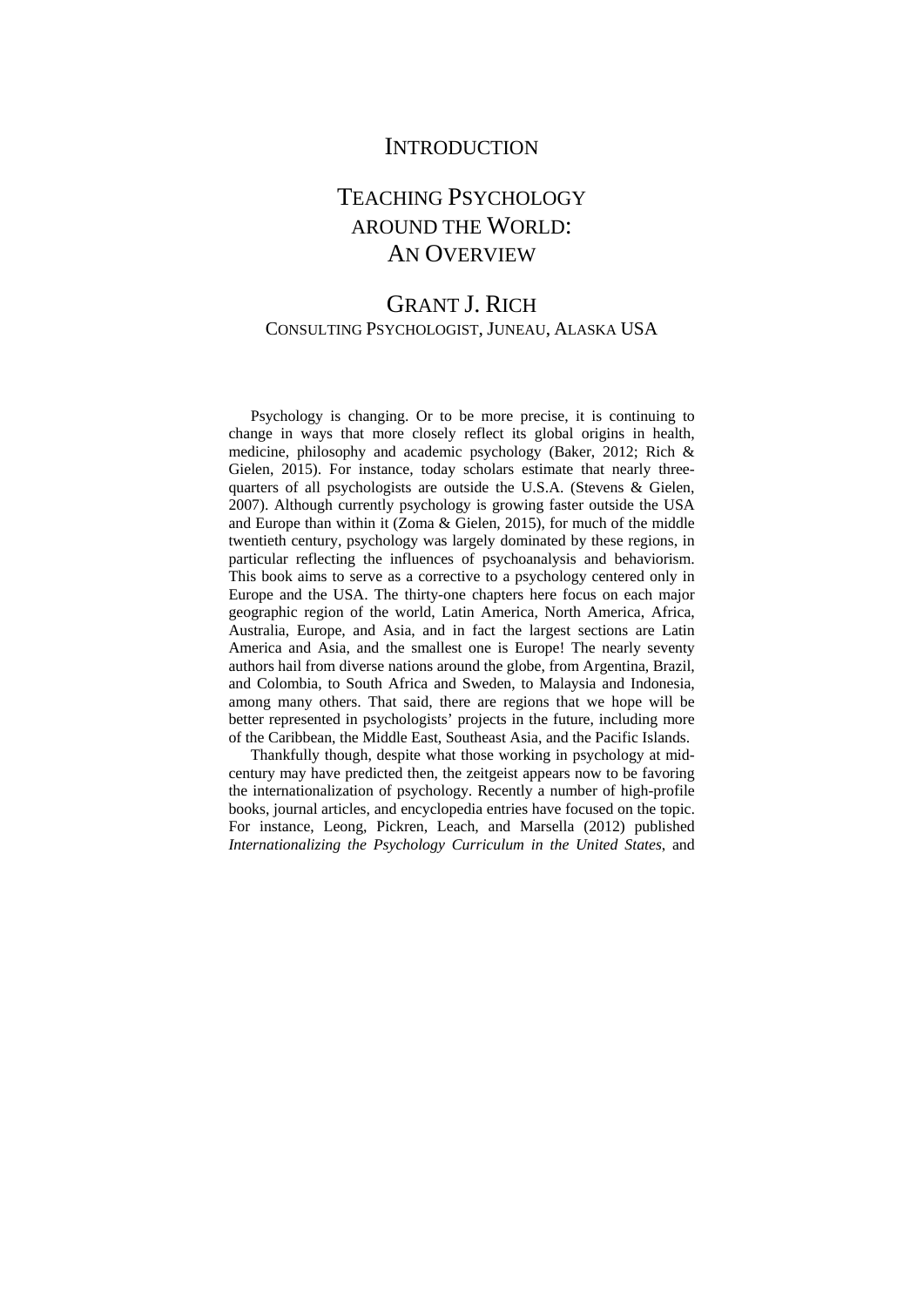## **INTRODUCTION**

## TEACHING PSYCHOLOGY AROUND THE WORLD: AN OVERVIEW

## GRANT J. RICH CONSULTING PSYCHOLOGIST, JUNEAU, ALASKA USA

Psychology is changing. Or to be more precise, it is continuing to change in ways that more closely reflect its global origins in health, medicine, philosophy and academic psychology (Baker, 2012; Rich & Gielen, 2015). For instance, today scholars estimate that nearly threequarters of all psychologists are outside the U.S.A. (Stevens & Gielen, 2007). Although currently psychology is growing faster outside the USA and Europe than within it (Zoma & Gielen, 2015), for much of the middle twentieth century, psychology was largely dominated by these regions, in particular reflecting the influences of psychoanalysis and behaviorism. This book aims to serve as a corrective to a psychology centered only in Europe and the USA. The thirty-one chapters here focus on each major geographic region of the world, Latin America, North America, Africa, Australia, Europe, and Asia, and in fact the largest sections are Latin America and Asia, and the smallest one is Europe! The nearly seventy authors hail from diverse nations around the globe, from Argentina, Brazil, and Colombia, to South Africa and Sweden, to Malaysia and Indonesia, among many others. That said, there are regions that we hope will be better represented in psychologists' projects in the future, including more of the Caribbean, the Middle East, Southeast Asia, and the Pacific Islands.

Thankfully though, despite what those working in psychology at midcentury may have predicted then, the zeitgeist appears now to be favoring the internationalization of psychology. Recently a number of high-profile books, journal articles, and encyclopedia entries have focused on the topic. For instance, Leong, Pickren, Leach, and Marsella (2012) published *Internationalizing the Psychology Curriculum in the United States*, and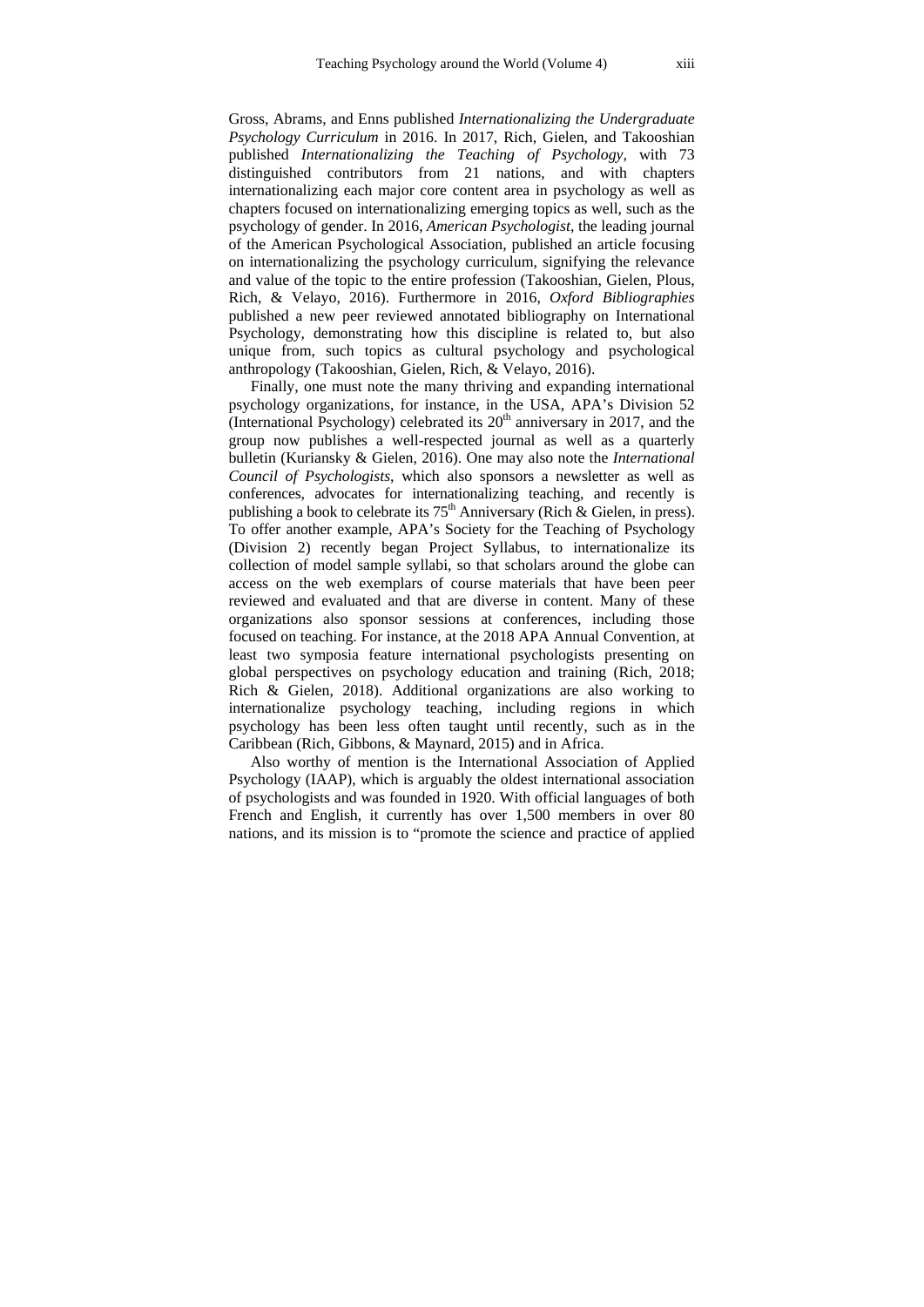Gross, Abrams, and Enns published *Internationalizing the Undergraduate Psychology Curriculum* in 2016. In 2017, Rich, Gielen, and Takooshian published *Internationalizing the Teaching of Psychology*, with 73 distinguished contributors from 21 nations, and with chapters internationalizing each major core content area in psychology as well as chapters focused on internationalizing emerging topics as well, such as the psychology of gender. In 2016, *American Psychologist,* the leading journal of the American Psychological Association, published an article focusing on internationalizing the psychology curriculum, signifying the relevance and value of the topic to the entire profession (Takooshian, Gielen, Plous, Rich, & Velayo, 2016). Furthermore in 2016, *Oxford Bibliographies* published a new peer reviewed annotated bibliography on International Psychology, demonstrating how this discipline is related to, but also unique from, such topics as cultural psychology and psychological anthropology (Takooshian, Gielen, Rich, & Velayo, 2016).

Finally, one must note the many thriving and expanding international psychology organizations, for instance, in the USA, APA's Division 52 (International Psychology) celebrated its  $20<sup>th</sup>$  anniversary in 2017, and the group now publishes a well-respected journal as well as a quarterly bulletin (Kuriansky & Gielen, 2016). One may also note the *International Council of Psychologists*, which also sponsors a newsletter as well as conferences, advocates for internationalizing teaching, and recently is publishing a book to celebrate its  $75<sup>th</sup>$  Anniversary (Rich & Gielen, in press). To offer another example, APA's Society for the Teaching of Psychology (Division 2) recently began Project Syllabus, to internationalize its collection of model sample syllabi, so that scholars around the globe can access on the web exemplars of course materials that have been peer reviewed and evaluated and that are diverse in content. Many of these organizations also sponsor sessions at conferences, including those focused on teaching. For instance, at the 2018 APA Annual Convention, at least two symposia feature international psychologists presenting on global perspectives on psychology education and training (Rich, 2018; Rich & Gielen, 2018). Additional organizations are also working to internationalize psychology teaching, including regions in which psychology has been less often taught until recently, such as in the Caribbean (Rich, Gibbons, & Maynard, 2015) and in Africa.

Also worthy of mention is the International Association of Applied Psychology (IAAP), which is arguably the oldest international association of psychologists and was founded in 1920. With official languages of both French and English, it currently has over 1,500 members in over 80 nations, and its mission is to "promote the science and practice of applied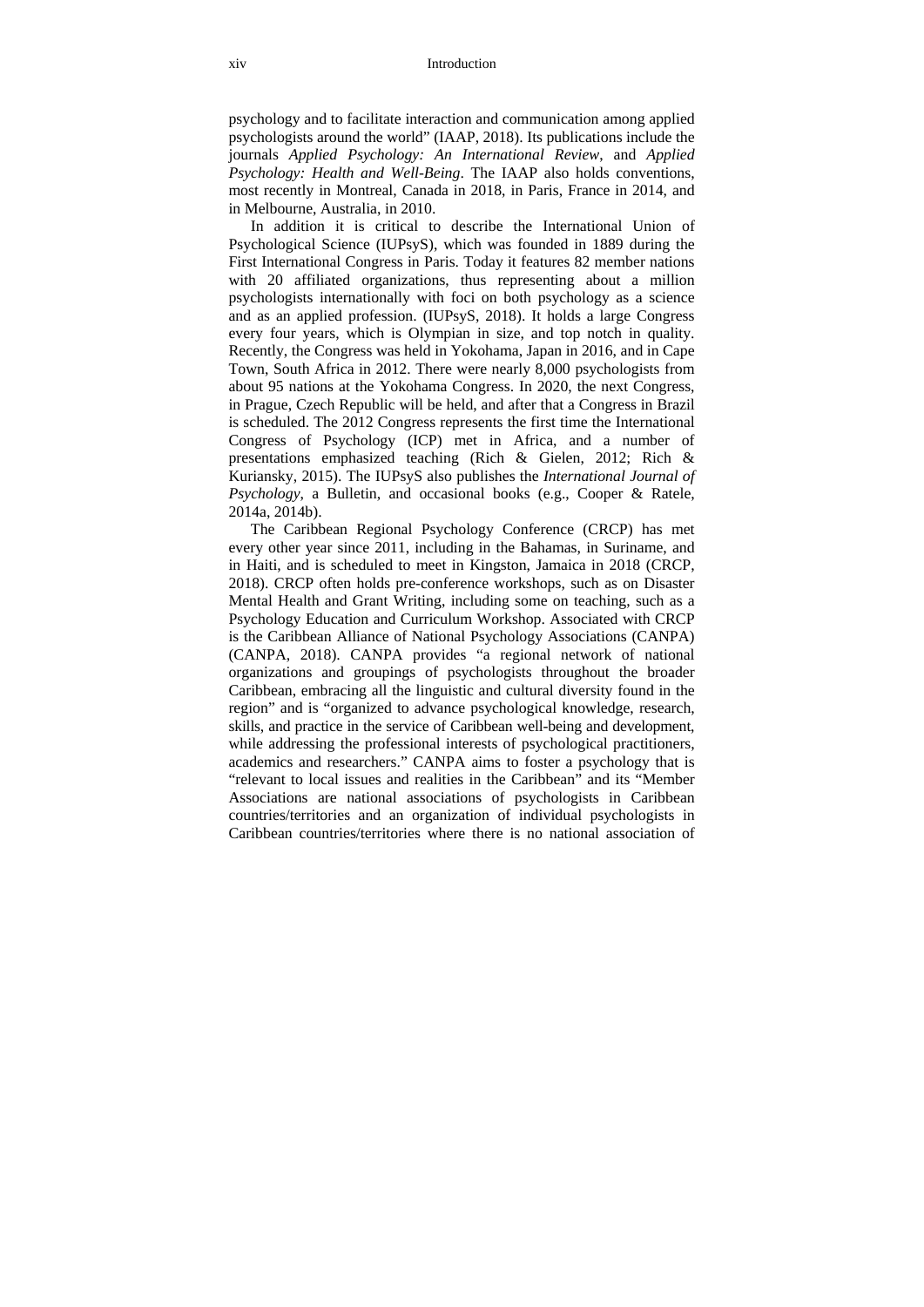psychology and to facilitate interaction and communication among applied psychologists around the world" (IAAP, 2018). Its publications include the journals *Applied Psychology: An International Review*, and *Applied Psychology: Health and Well-Being*. The IAAP also holds conventions, most recently in Montreal, Canada in 2018, in Paris, France in 2014, and in Melbourne, Australia, in 2010.

In addition it is critical to describe the International Union of Psychological Science (IUPsyS), which was founded in 1889 during the First International Congress in Paris. Today it features 82 member nations with 20 affiliated organizations, thus representing about a million psychologists internationally with foci on both psychology as a science and as an applied profession. (IUPsyS, 2018). It holds a large Congress every four years, which is Olympian in size, and top notch in quality. Recently, the Congress was held in Yokohama, Japan in 2016, and in Cape Town, South Africa in 2012. There were nearly 8,000 psychologists from about 95 nations at the Yokohama Congress. In 2020, the next Congress, in Prague, Czech Republic will be held, and after that a Congress in Brazil is scheduled. The 2012 Congress represents the first time the International Congress of Psychology (ICP) met in Africa, and a number of presentations emphasized teaching (Rich & Gielen, 2012; Rich & Kuriansky, 2015). The IUPsyS also publishes the *International Journal of Psychology*, a Bulletin, and occasional books (e.g., Cooper & Ratele, 2014a, 2014b).

The Caribbean Regional Psychology Conference (CRCP) has met every other year since 2011, including in the Bahamas, in Suriname, and in Haiti, and is scheduled to meet in Kingston, Jamaica in 2018 (CRCP, 2018). CRCP often holds pre-conference workshops, such as on Disaster Mental Health and Grant Writing, including some on teaching, such as a Psychology Education and Curriculum Workshop. Associated with CRCP is the Caribbean Alliance of National Psychology Associations (CANPA) (CANPA, 2018). CANPA provides "a regional network of national organizations and groupings of psychologists throughout the broader Caribbean, embracing all the linguistic and cultural diversity found in the region" and is "organized to advance psychological knowledge, research, skills, and practice in the service of Caribbean well-being and development, while addressing the professional interests of psychological practitioners, academics and researchers." CANPA aims to foster a psychology that is "relevant to local issues and realities in the Caribbean" and its "Member Associations are national associations of psychologists in Caribbean countries/territories and an organization of individual psychologists in Caribbean countries/territories where there is no national association of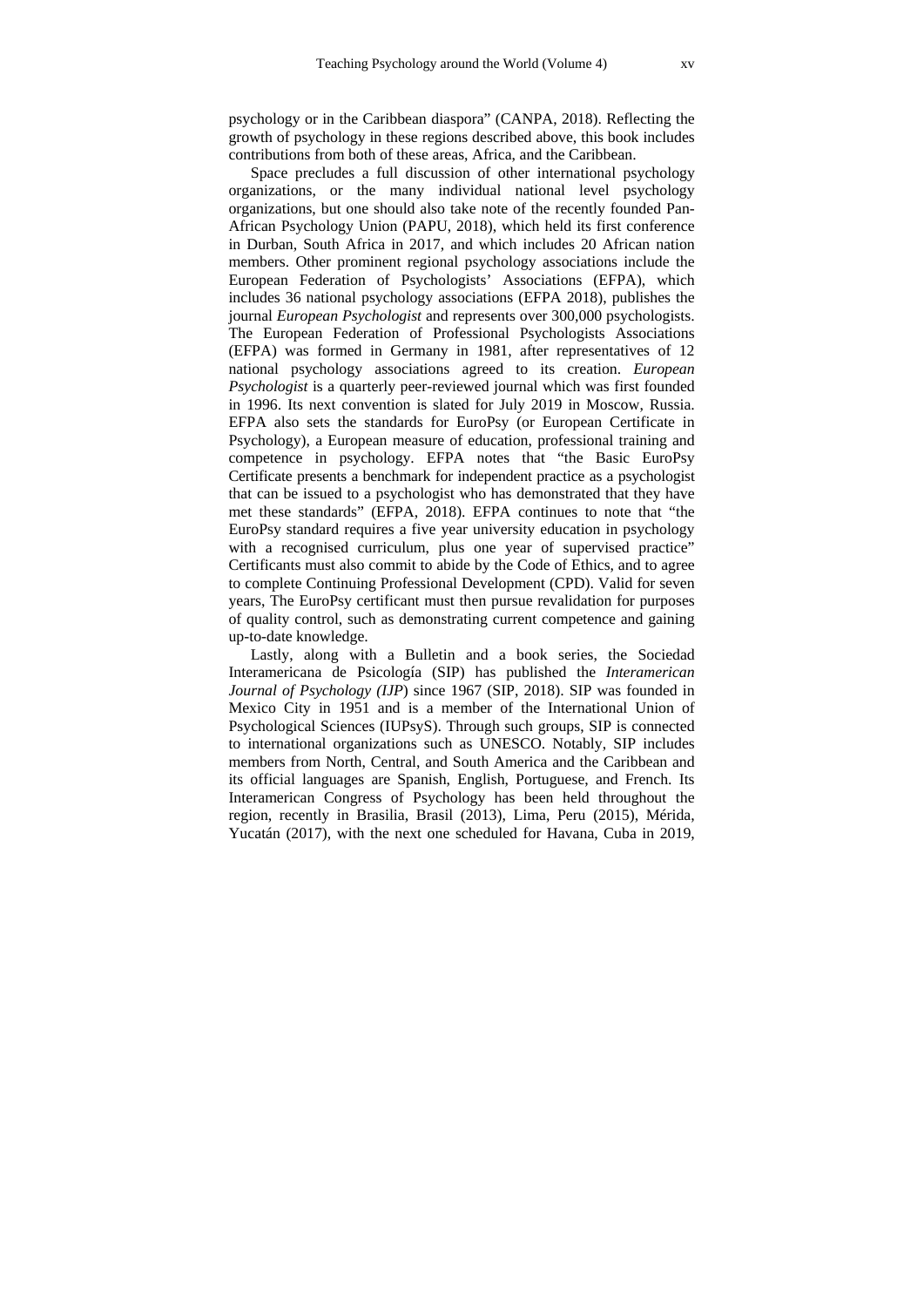psychology or in the Caribbean diaspora" (CANPA, 2018). Reflecting the growth of psychology in these regions described above, this book includes contributions from both of these areas, Africa, and the Caribbean.

Space precludes a full discussion of other international psychology organizations, or the many individual national level psychology organizations, but one should also take note of the recently founded Pan-African Psychology Union (PAPU, 2018), which held its first conference in Durban, South Africa in 2017, and which includes 20 African nation members. Other prominent regional psychology associations include the European Federation of Psychologists' Associations (EFPA), which includes 36 national psychology associations (EFPA 2018), publishes the journal *European Psychologist* and represents over 300,000 psychologists. The European Federation of Professional Psychologists Associations (EFPA) was formed in Germany in 1981, after representatives of 12 national psychology associations agreed to its creation. *European Psychologist* is a quarterly peer-reviewed journal which was first founded in 1996. Its next convention is slated for July 2019 in Moscow, Russia. EFPA also sets the standards for EuroPsy (or European Certificate in Psychology), a European measure of education, professional training and competence in psychology. EFPA notes that "the Basic EuroPsy Certificate presents a benchmark for independent practice as a psychologist that can be issued to a psychologist who has demonstrated that they have met these standards" (EFPA, 2018). EFPA continues to note that "the EuroPsy standard requires a five year university education in psychology with a recognised curriculum, plus one year of supervised practice" Certificants must also commit to abide by the Code of Ethics, and to agree to complete Continuing Professional Development (CPD). Valid for seven years, The EuroPsy certificant must then pursue revalidation for purposes of quality control, such as demonstrating current competence and gaining up-to-date knowledge.

Lastly, along with a Bulletin and a book series, the Sociedad Interamericana de Psicología (SIP) has published the *Interamerican Journal of Psychology (IJP*) since 1967 (SIP, 2018). SIP was founded in Mexico City in 1951 and is a member of the International Union of Psychological Sciences (IUPsyS). Through such groups, SIP is connected to international organizations such as UNESCO. Notably, SIP includes members from North, Central, and South America and the Caribbean and its official languages are Spanish, English, Portuguese, and French. Its Interamerican Congress of Psychology has been held throughout the region, recently in Brasilia, Brasil (2013), Lima, Peru (2015), Mérida, Yucatán (2017), with the next one scheduled for Havana, Cuba in 2019,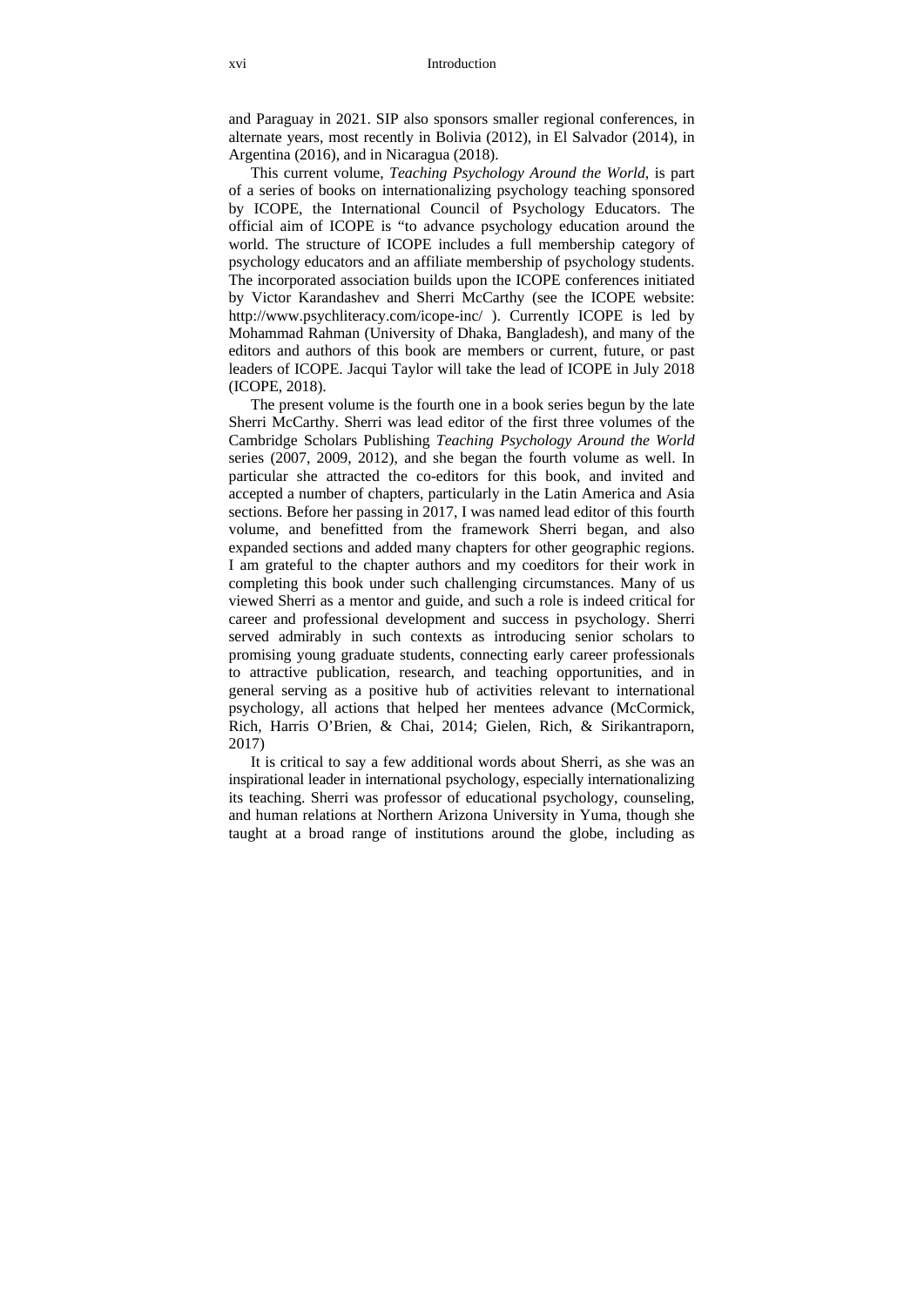and Paraguay in 2021. SIP also sponsors smaller regional conferences, in alternate years, most recently in Bolivia (2012), in El Salvador (2014), in Argentina (2016), and in Nicaragua (2018).

This current volume, *Teaching Psychology Around the World*, is part of a series of books on internationalizing psychology teaching sponsored by ICOPE, the International Council of Psychology Educators. The official aim of ICOPE is "to advance psychology education around the world. The structure of ICOPE includes a full membership category of psychology educators and an affiliate membership of psychology students. The incorporated association builds upon the ICOPE conferences initiated by Victor Karandashev and Sherri McCarthy (see the ICOPE website: http://www.psychliteracy.com/icope-inc/ ). Currently ICOPE is led by Mohammad Rahman (University of Dhaka, Bangladesh), and many of the editors and authors of this book are members or current, future, or past leaders of ICOPE. Jacqui Taylor will take the lead of ICOPE in July 2018 (ICOPE, 2018).

The present volume is the fourth one in a book series begun by the late Sherri McCarthy. Sherri was lead editor of the first three volumes of the Cambridge Scholars Publishing *Teaching Psychology Around the World* series (2007, 2009, 2012), and she began the fourth volume as well. In particular she attracted the co-editors for this book, and invited and accepted a number of chapters, particularly in the Latin America and Asia sections. Before her passing in 2017, I was named lead editor of this fourth volume, and benefitted from the framework Sherri began, and also expanded sections and added many chapters for other geographic regions. I am grateful to the chapter authors and my coeditors for their work in completing this book under such challenging circumstances. Many of us viewed Sherri as a mentor and guide, and such a role is indeed critical for career and professional development and success in psychology. Sherri served admirably in such contexts as introducing senior scholars to promising young graduate students, connecting early career professionals to attractive publication, research, and teaching opportunities, and in general serving as a positive hub of activities relevant to international psychology, all actions that helped her mentees advance (McCormick, Rich, Harris O'Brien, & Chai, 2014; Gielen, Rich, & Sirikantraporn, 2017)

It is critical to say a few additional words about Sherri, as she was an inspirational leader in international psychology, especially internationalizing its teaching. Sherri was professor of educational psychology, counseling, and human relations at Northern Arizona University in Yuma, though she taught at a broad range of institutions around the globe, including as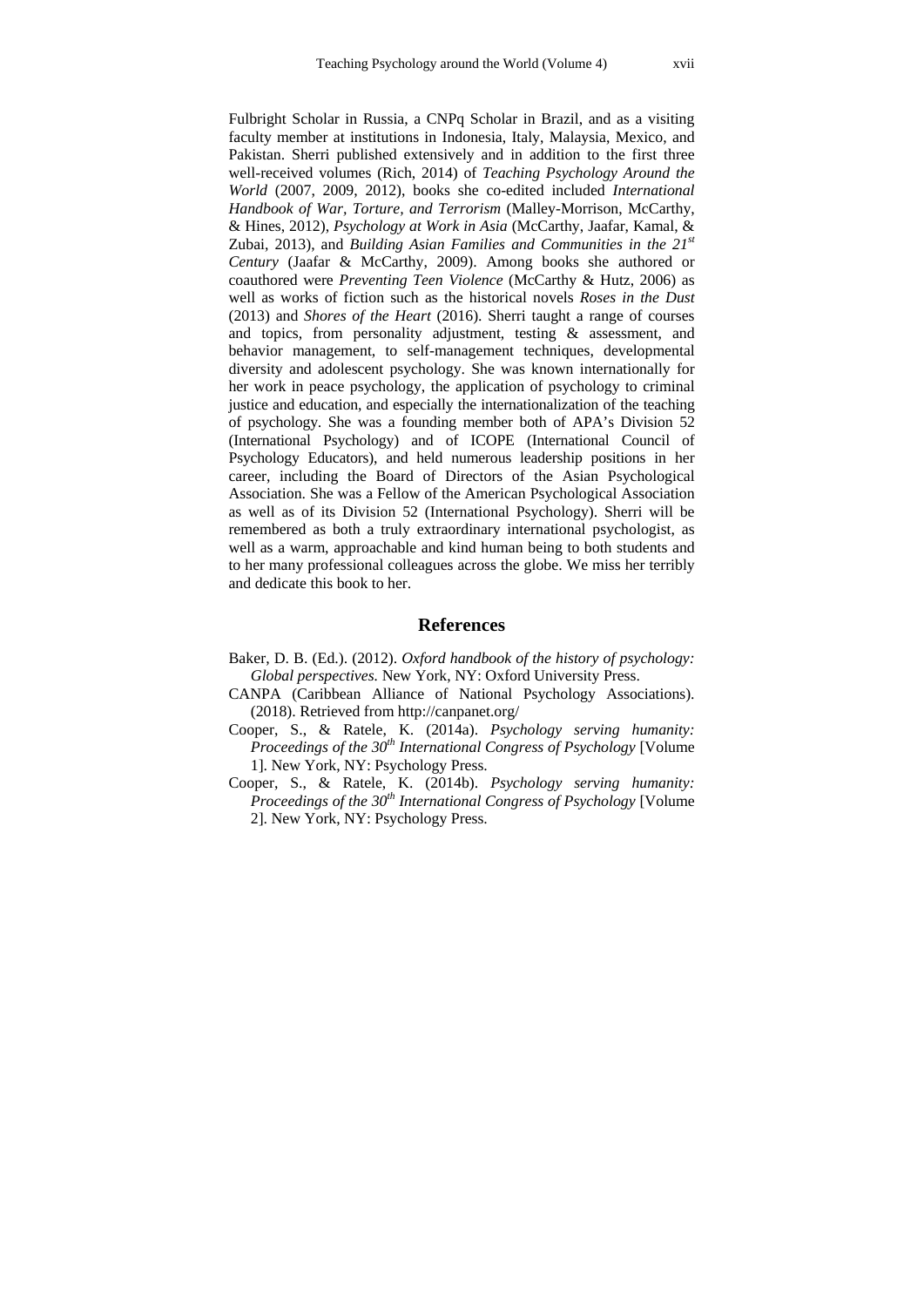Fulbright Scholar in Russia, a CNPq Scholar in Brazil, and as a visiting faculty member at institutions in Indonesia, Italy, Malaysia, Mexico, and Pakistan. Sherri published extensively and in addition to the first three well-received volumes (Rich, 2014) of *Teaching Psychology Around the World* (2007, 2009, 2012), books she co-edited included *International Handbook of War, Torture, and Terrorism* (Malley-Morrison, McCarthy, & Hines, 2012), *Psychology at Work in Asia* (McCarthy, Jaafar, Kamal, & Zubai, 2013), and *Building Asian Families and Communities in the 21st Century* (Jaafar & McCarthy, 2009). Among books she authored or coauthored were *Preventing Teen Violence* (McCarthy & Hutz, 2006) as well as works of fiction such as the historical novels *Roses in the Dust*  (2013) and *Shores of the Heart* (2016). Sherri taught a range of courses and topics, from personality adjustment, testing & assessment, and behavior management, to self-management techniques, developmental diversity and adolescent psychology. She was known internationally for her work in peace psychology, the application of psychology to criminal justice and education, and especially the internationalization of the teaching of psychology. She was a founding member both of APA's Division 52 (International Psychology) and of ICOPE (International Council of Psychology Educators), and held numerous leadership positions in her career, including the Board of Directors of the Asian Psychological Association. She was a Fellow of the American Psychological Association as well as of its Division 52 (International Psychology). Sherri will be remembered as both a truly extraordinary international psychologist, as well as a warm, approachable and kind human being to both students and to her many professional colleagues across the globe. We miss her terribly and dedicate this book to her.

### **References**

- Baker, D. B. (Ed.). (2012). *Oxford handbook of the history of psychology: Global perspectives.* New York, NY: Oxford University Press.
- CANPA (Caribbean Alliance of National Psychology Associations). (2018). Retrieved from http://canpanet.org/
- Cooper, S., & Ratele, K. (2014a). *Psychology serving humanity: Proceedings of the 30th International Congress of Psychology* [Volume 1]. New York, NY: Psychology Press.
- Cooper, S., & Ratele, K. (2014b). *Psychology serving humanity: Proceedings of the 30th International Congress of Psychology* [Volume 2]. New York, NY: Psychology Press.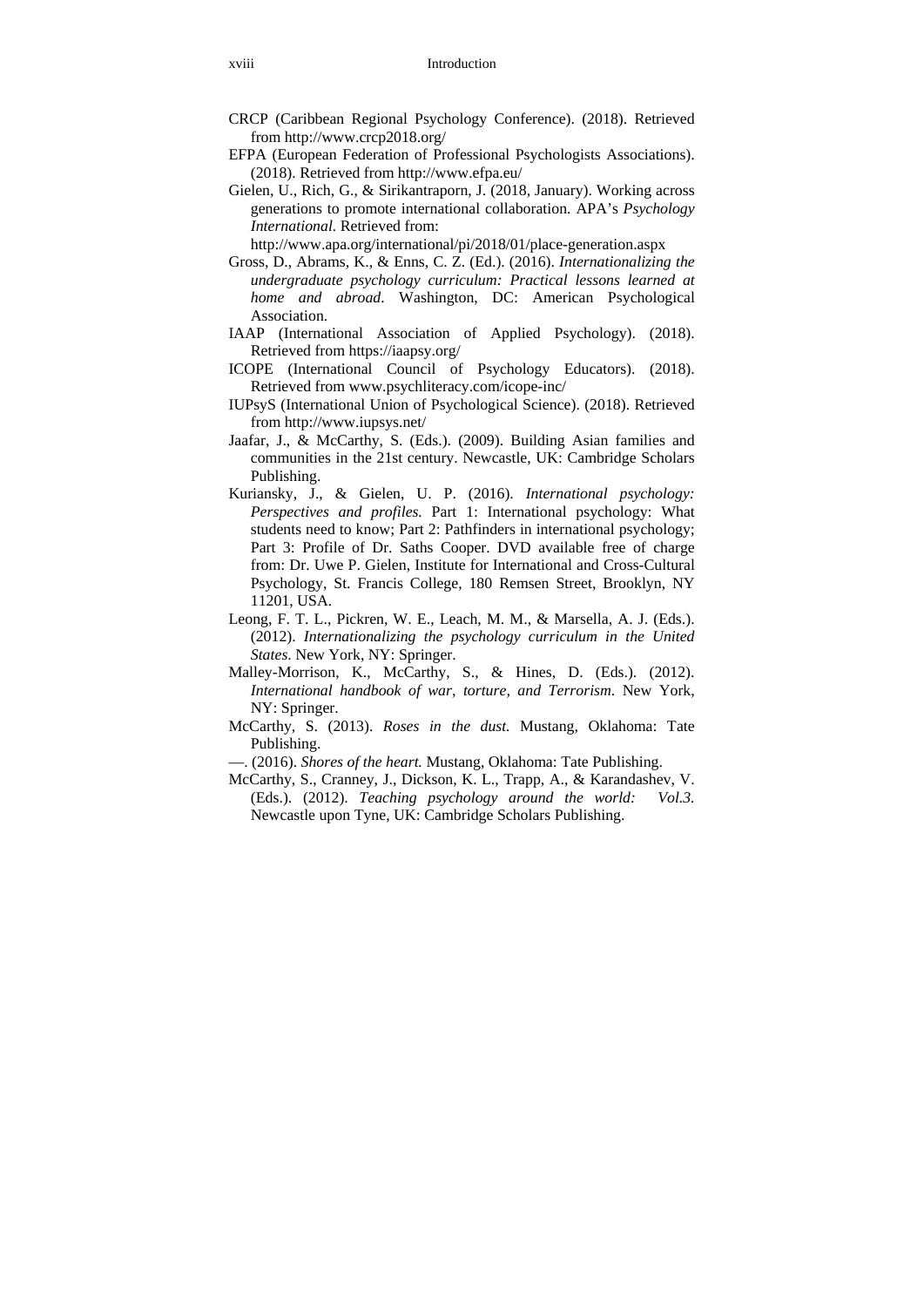- CRCP (Caribbean Regional Psychology Conference). (2018). Retrieved from http://www.crcp2018.org/
- EFPA (European Federation of Professional Psychologists Associations). (2018). Retrieved from http://www.efpa.eu/
- Gielen, U., Rich, G., & Sirikantraporn, J. (2018, January). Working across generations to promote international collaboration. APA's *Psychology International.* Retrieved from:

http://www.apa.org/international/pi/2018/01/place-generation.aspx

- Gross, D., Abrams, K., & Enns, C. Z. (Ed.). (2016). *Internationalizing the undergraduate psychology curriculum: Practical lessons learned at home and abroad*. Washington, DC: American Psychological Association.
- IAAP (International Association of Applied Psychology). (2018). Retrieved from https://iaapsy.org/
- ICOPE (International Council of Psychology Educators). (2018). Retrieved from www.psychliteracy.com/icope-inc/
- IUPsyS (International Union of Psychological Science). (2018). Retrieved from http://www.iupsys.net/
- Jaafar, J., & McCarthy, S. (Eds.). (2009). Building Asian families and communities in the 21st century. Newcastle, UK: Cambridge Scholars Publishing.
- Kuriansky, J., & Gielen, U. P. (2016). *International psychology: Perspectives and profiles.* Part 1: International psychology: What students need to know; Part 2: Pathfinders in international psychology; Part 3: Profile of Dr. Saths Cooper. DVD available free of charge from: Dr. Uwe P. Gielen, Institute for International and Cross-Cultural Psychology, St. Francis College, 180 Remsen Street, Brooklyn, NY 11201, USA.
- Leong, F. T. L., Pickren, W. E., Leach, M. M., & Marsella, A. J. (Eds.). (2012). *Internationalizing the psychology curriculum in the United States*. New York, NY: Springer.
- Malley-Morrison, K., McCarthy, S., & Hines, D. (Eds.). (2012). *International handbook of war, torture, and Terrorism*. New York, NY: Springer.
- McCarthy, S. (2013). *Roses in the dust.* Mustang, Oklahoma: Tate Publishing.
- —. (2016). *Shores of the heart.* Mustang, Oklahoma: Tate Publishing.
- McCarthy, S., Cranney, J., Dickson, K. L., Trapp, A., & Karandashev, V. (Eds.). (2012). *Teaching psychology around the world: Vol.3.* Newcastle upon Tyne, UK: Cambridge Scholars Publishing.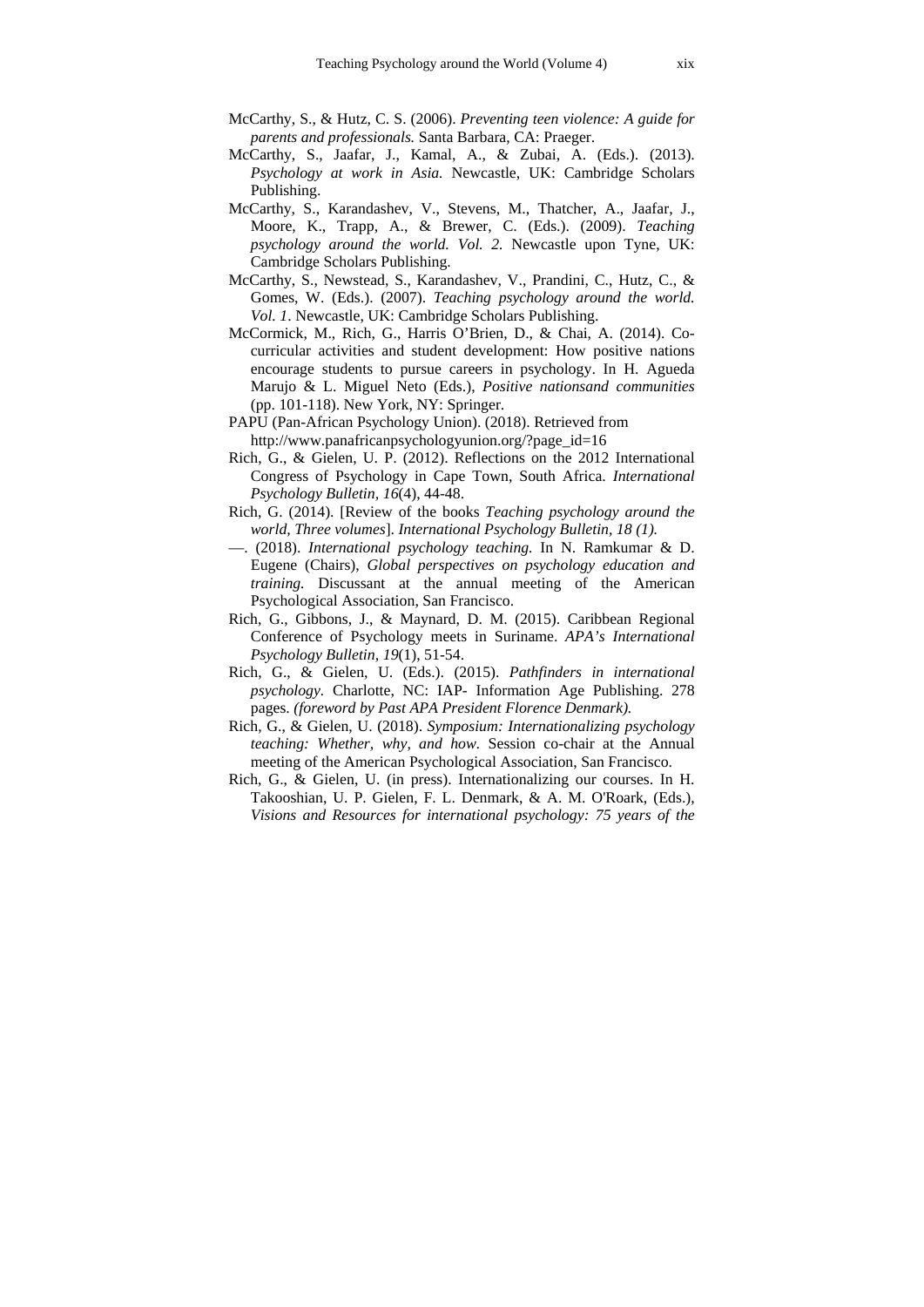- McCarthy, S., & Hutz, C. S. (2006). *Preventing teen violence: A guide for parents and professionals.* Santa Barbara, CA: Praeger.
- McCarthy, S., Jaafar, J., Kamal, A., & Zubai, A. (Eds.). (2013). *Psychology at work in Asia.* Newcastle, UK: Cambridge Scholars Publishing.
- McCarthy, S., Karandashev, V., Stevens, M., Thatcher, A., Jaafar, J., Moore, K., Trapp, A., & Brewer, C. (Eds.). (2009). *Teaching psychology around the world. Vol. 2.* Newcastle upon Tyne, UK: Cambridge Scholars Publishing.
- McCarthy, S., Newstead, S., Karandashev, V., Prandini, C., Hutz, C., & Gomes, W. (Eds.). (2007). *Teaching psychology around the world. Vol. 1*. Newcastle, UK: Cambridge Scholars Publishing.
- McCormick, M., Rich, G., Harris O'Brien, D., & Chai, A. (2014). Cocurricular activities and student development: How positive nations encourage students to pursue careers in psychology. In H. Agueda Marujo & L. Miguel Neto (Eds.), *Positive nationsand communities* (pp. 101-118). New York, NY: Springer.
- PAPU (Pan-African Psychology Union). (2018). Retrieved from http://www.panafricanpsychologyunion.org/?page\_id=16
- Rich, G., & Gielen, U. P. (2012). Reflections on the 2012 International Congress of Psychology in Cape Town, South Africa. *International Psychology Bulletin, 16*(4), 44-48.
- Rich, G. (2014). [Review of the books *Teaching psychology around the world, Three volumes*]. *International Psychology Bulletin, 18 (1).*
- —. (2018). *International psychology teaching.* In N. Ramkumar & D. Eugene (Chairs), *Global perspectives on psychology education and training.* Discussant at the annual meeting of the American Psychological Association, San Francisco.
- Rich, G., Gibbons, J., & Maynard, D. M. (2015). Caribbean Regional Conference of Psychology meets in Suriname. *APA's International Psychology Bulletin, 19*(1), 51-54.
- Rich, G., & Gielen, U. (Eds.). (2015). *Pathfinders in international psychology.* Charlotte, NC: IAP- Information Age Publishing. 278 pages. *(foreword by Past APA President Florence Denmark).*
- Rich, G., & Gielen, U. (2018). *Symposium: Internationalizing psychology teaching: Whether, why, and how.* Session co-chair at the Annual meeting of the American Psychological Association, San Francisco.
- Rich, G., & Gielen, U. (in press). Internationalizing our courses. In H. Takooshian, U. P. Gielen, F. L. Denmark, & A. M. O'Roark, (Eds.), *Visions and Resources for international psychology: 75 years of the*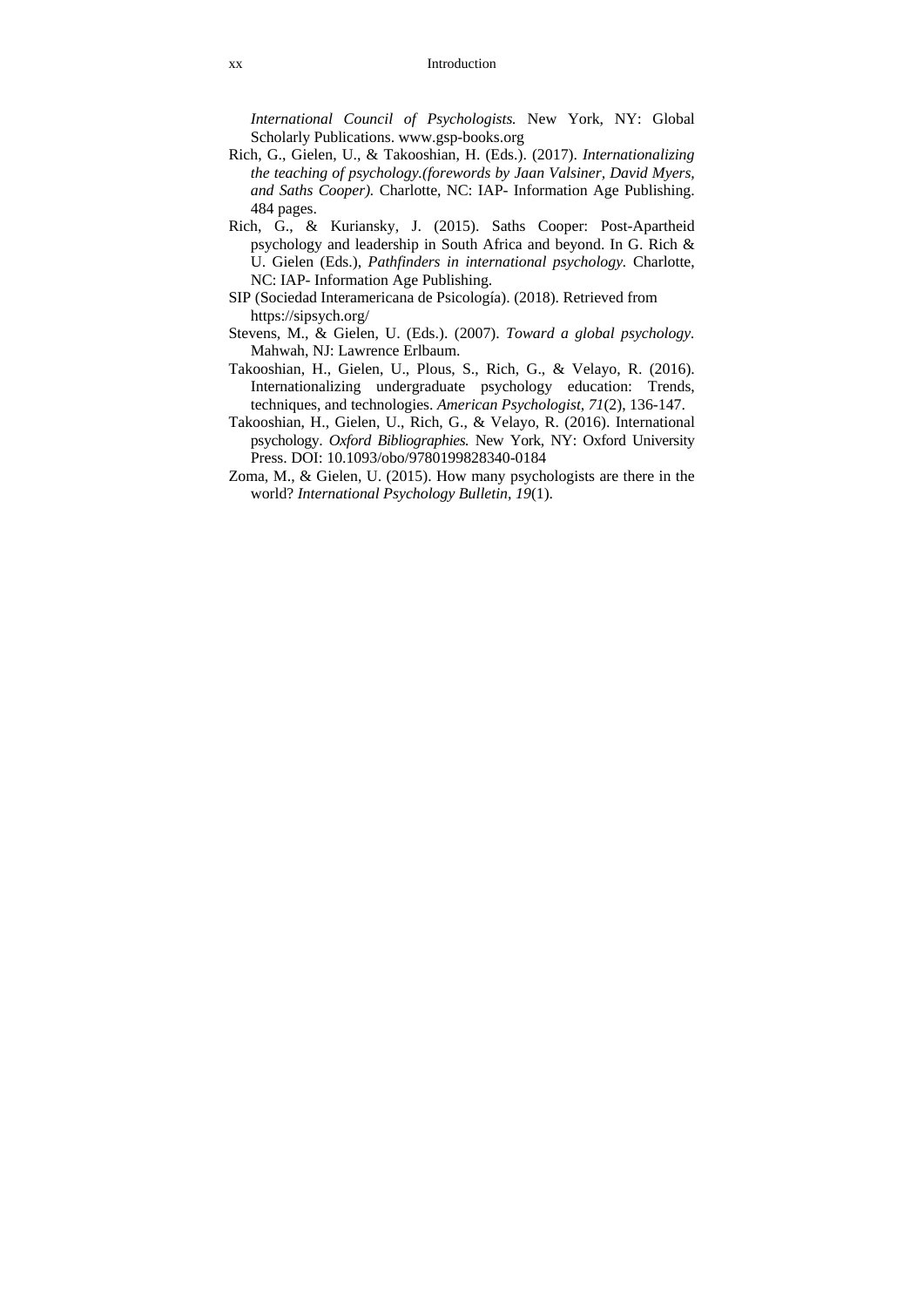*International Council of Psychologists.* New York, NY: Global Scholarly Publications. www.gsp-books.org

- Rich, G., Gielen, U., & Takooshian, H. (Eds.). (2017). *Internationalizing the teaching of psychology.(forewords by Jaan Valsiner, David Myers, and Saths Cooper).* Charlotte, NC: IAP- Information Age Publishing. 484 pages.
- Rich, G., & Kuriansky, J. (2015). Saths Cooper: Post-Apartheid psychology and leadership in South Africa and beyond. In G. Rich & U. Gielen (Eds.), *Pathfinders in international psychology.* Charlotte, NC: IAP- Information Age Publishing.
- SIP (Sociedad Interamericana de Psicología). (2018). Retrieved from https://sipsych.org/
- Stevens, M., & Gielen, U. (Eds.). (2007). *Toward a global psychology.* Mahwah, NJ: Lawrence Erlbaum.
- Takooshian, H., Gielen, U., Plous, S., Rich, G., & Velayo, R. (2016). Internationalizing undergraduate psychology education: Trends, techniques, and technologies. *American Psychologist, 71*(2), 136-147.
- Takooshian, H., Gielen, U., Rich, G., & Velayo, R. (2016). International psychology. *Oxford Bibliographies.* New York, NY: Oxford University Press. DOI: 10.1093/obo/9780199828340-0184
- Zoma, M., & Gielen, U. (2015). How many psychologists are there in the world? *International Psychology Bulletin, 19*(1).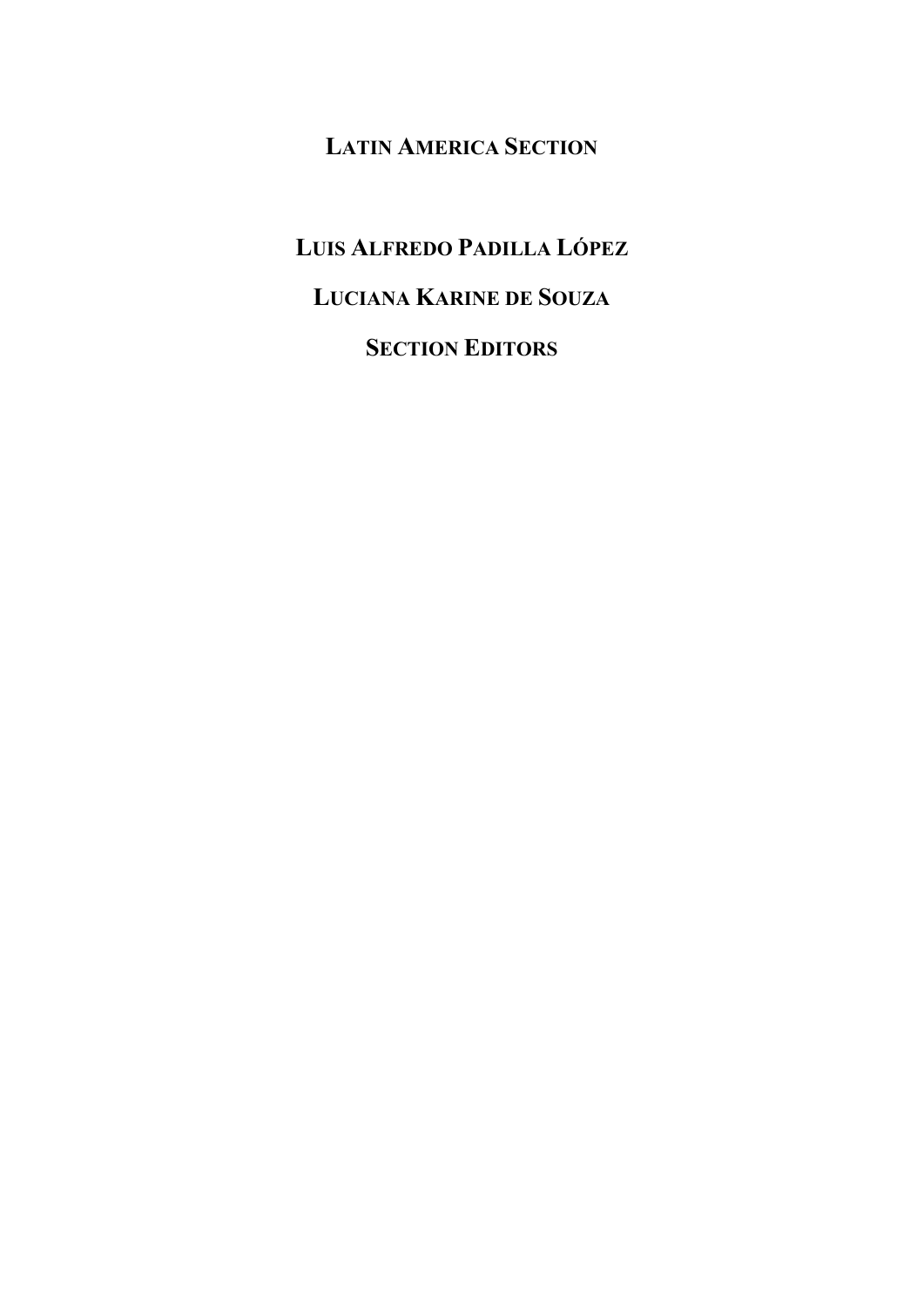# **LATIN AMERICA SECTION**

# **LUIS ALFREDO PADILLA LÓPEZ LUCIANA KARINE DE SOUZA SECTION EDITORS**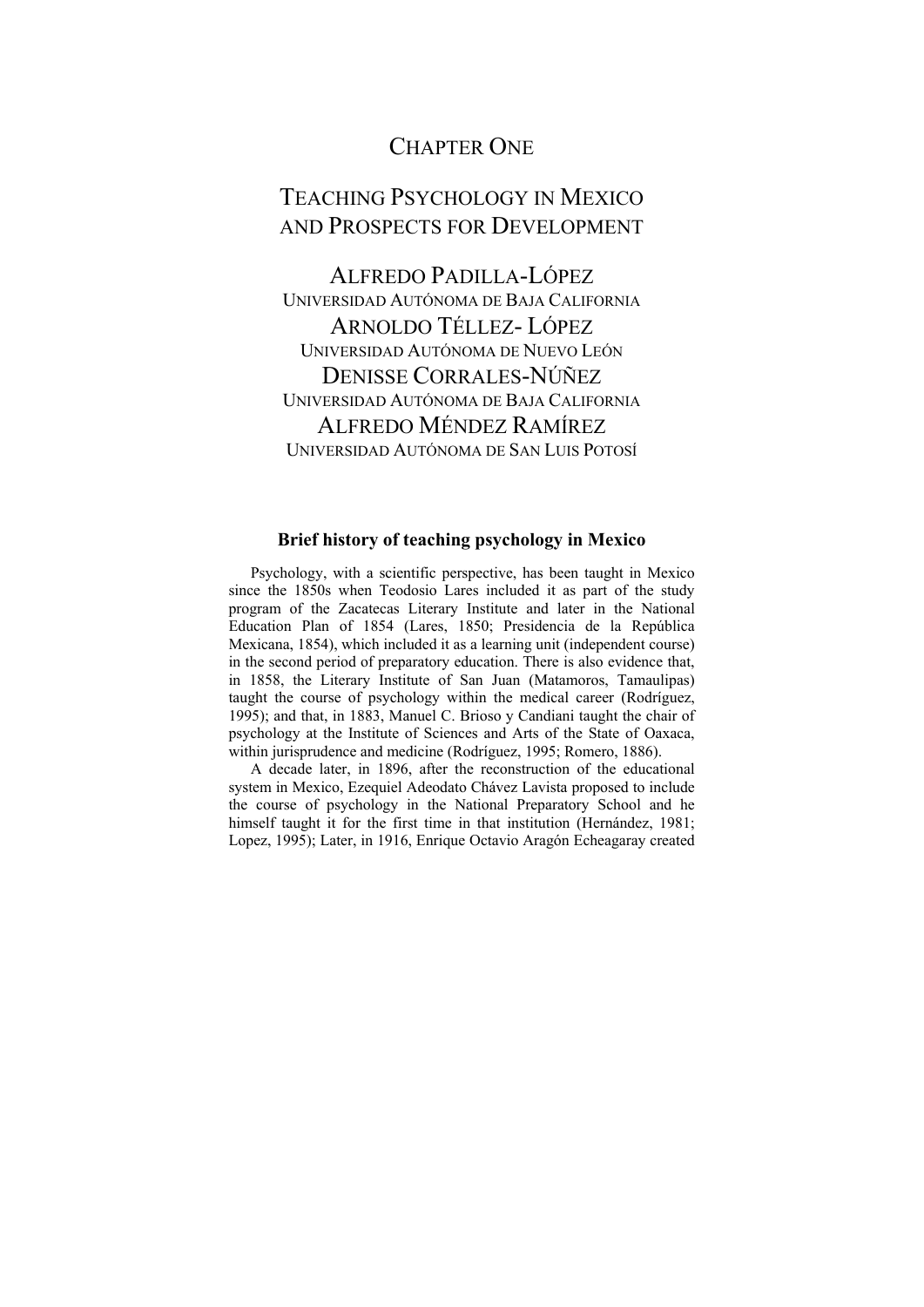## CHAPTER ONE

# TEACHING PSYCHOLOGY IN MEXICO AND PROSPECTS FOR DEVELOPMENT

ALFREDO PADILLA-LÓPEZ UNIVERSIDAD AUTÓNOMA DE BAJA CALIFORNIA ARNOLDO TÉLLEZ- LÓPEZ UNIVERSIDAD AUTÓNOMA DE NUEVO LEÓN DENISSE CORRALES-NÚÑEZ UNIVERSIDAD AUTÓNOMA DE BAJA CALIFORNIA ALFREDO MÉNDEZ RAMÍREZ UNIVERSIDAD AUTÓNOMA DE SAN LUIS POTOSÍ

### **Brief history of teaching psychology in Mexico**

Psychology, with a scientific perspective, has been taught in Mexico since the 1850s when Teodosio Lares included it as part of the study program of the Zacatecas Literary Institute and later in the National Education Plan of 1854 (Lares, 1850; Presidencia de la República Mexicana, 1854), which included it as a learning unit (independent course) in the second period of preparatory education. There is also evidence that, in 1858, the Literary Institute of San Juan (Matamoros, Tamaulipas) taught the course of psychology within the medical career (Rodríguez, 1995); and that, in 1883, Manuel C. Brioso y Candiani taught the chair of psychology at the Institute of Sciences and Arts of the State of Oaxaca, within jurisprudence and medicine (Rodríguez, 1995; Romero, 1886).

A decade later, in 1896, after the reconstruction of the educational system in Mexico, Ezequiel Adeodato Chávez Lavista proposed to include the course of psychology in the National Preparatory School and he himself taught it for the first time in that institution (Hernández, 1981; Lopez, 1995); Later, in 1916, Enrique Octavio Aragón Echeagaray created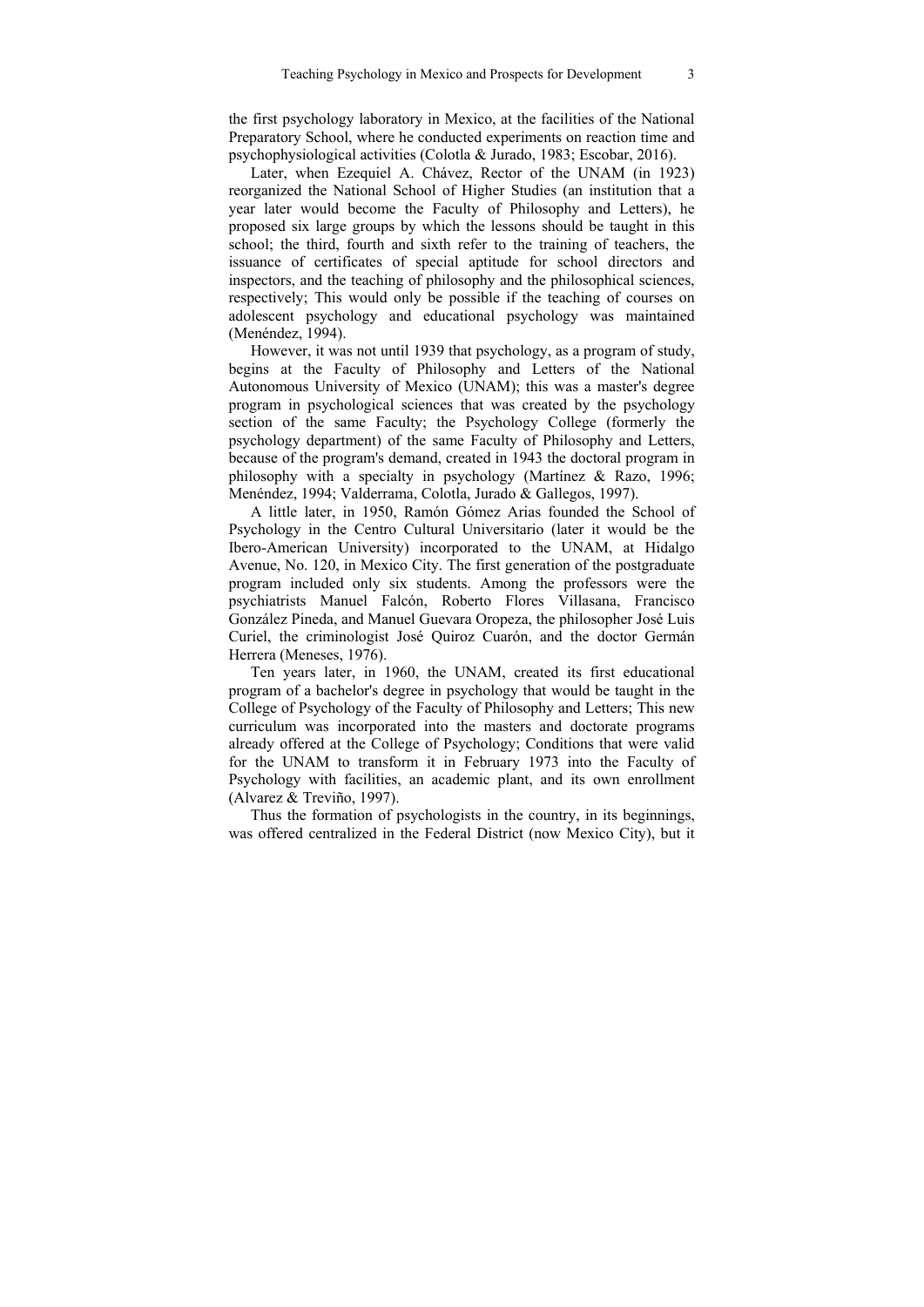the first psychology laboratory in Mexico, at the facilities of the National Preparatory School, where he conducted experiments on reaction time and psychophysiological activities (Colotla & Jurado, 1983; Escobar, 2016).

Later, when Ezequiel A. Chávez, Rector of the UNAM (in 1923) reorganized the National School of Higher Studies (an institution that a year later would become the Faculty of Philosophy and Letters), he proposed six large groups by which the lessons should be taught in this school; the third, fourth and sixth refer to the training of teachers, the issuance of certificates of special aptitude for school directors and inspectors, and the teaching of philosophy and the philosophical sciences, respectively; This would only be possible if the teaching of courses on adolescent psychology and educational psychology was maintained (Menéndez, 1994).

However, it was not until 1939 that psychology, as a program of study, begins at the Faculty of Philosophy and Letters of the National Autonomous University of Mexico (UNAM); this was a master's degree program in psychological sciences that was created by the psychology section of the same Faculty; the Psychology College (formerly the psychology department) of the same Faculty of Philosophy and Letters, because of the program's demand, created in 1943 the doctoral program in philosophy with a specialty in psychology (Martínez & Razo, 1996; Menéndez, 1994; Valderrama, Colotla, Jurado & Gallegos, 1997).

A little later, in 1950, Ramón Gómez Arias founded the School of Psychology in the Centro Cultural Universitario (later it would be the Ibero-American University) incorporated to the UNAM, at Hidalgo Avenue, No. 120, in Mexico City. The first generation of the postgraduate program included only six students. Among the professors were the psychiatrists Manuel Falcón, Roberto Flores Villasana, Francisco González Pineda, and Manuel Guevara Oropeza, the philosopher José Luis Curiel, the criminologist José Quiroz Cuarón, and the doctor Germán Herrera (Meneses, 1976).

Ten years later, in 1960, the UNAM, created its first educational program of a bachelor's degree in psychology that would be taught in the College of Psychology of the Faculty of Philosophy and Letters; This new curriculum was incorporated into the masters and doctorate programs already offered at the College of Psychology; Conditions that were valid for the UNAM to transform it in February 1973 into the Faculty of Psychology with facilities, an academic plant, and its own enrollment (Alvarez & Treviño, 1997).

Thus the formation of psychologists in the country, in its beginnings, was offered centralized in the Federal District (now Mexico City), but it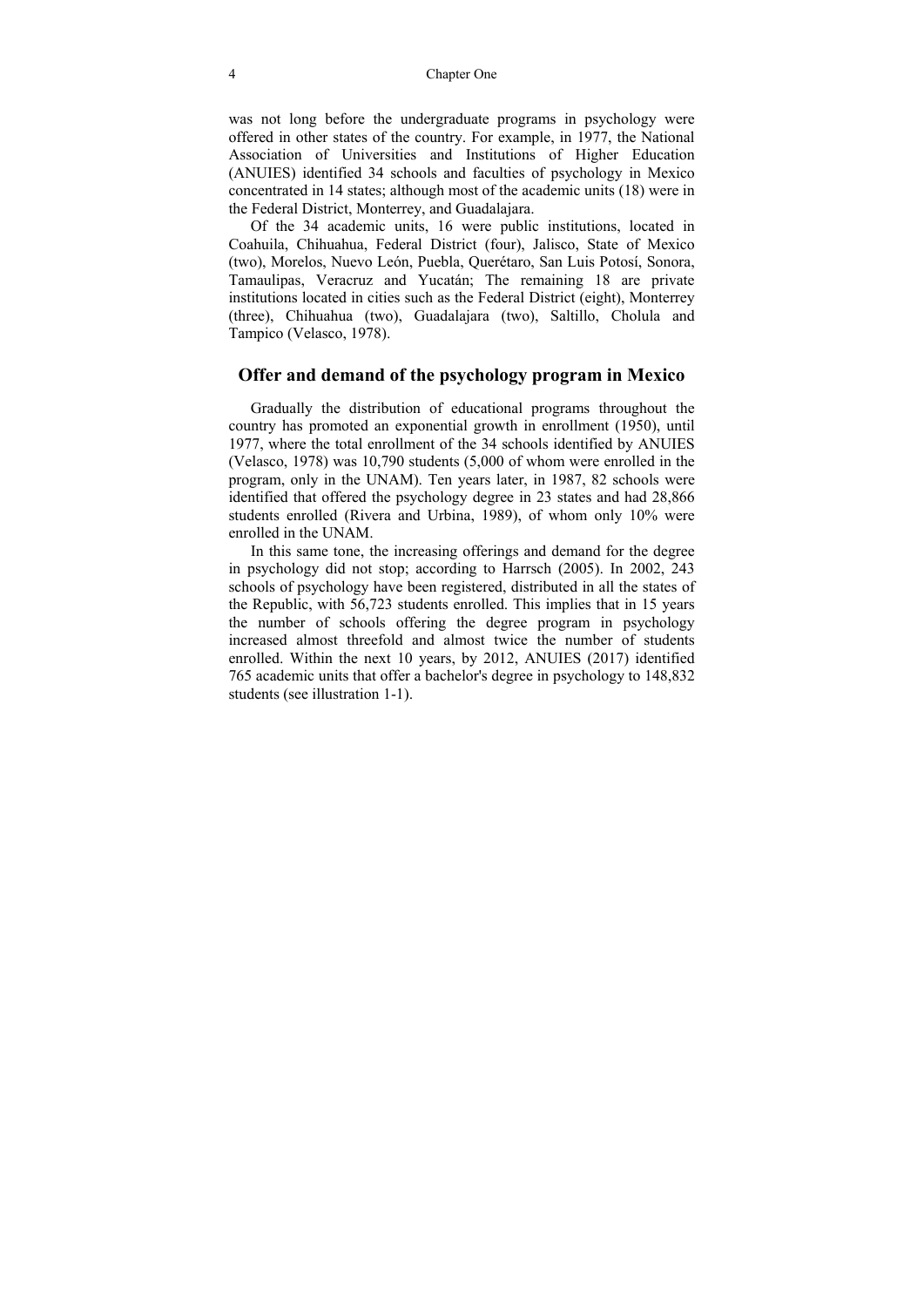was not long before the undergraduate programs in psychology were offered in other states of the country. For example, in 1977, the National Association of Universities and Institutions of Higher Education (ANUIES) identified 34 schools and faculties of psychology in Mexico concentrated in 14 states; although most of the academic units (18) were in the Federal District, Monterrey, and Guadalajara.

Of the 34 academic units, 16 were public institutions, located in Coahuila, Chihuahua, Federal District (four), Jalisco, State of Mexico (two), Morelos, Nuevo León, Puebla, Querétaro, San Luis Potosí, Sonora, Tamaulipas, Veracruz and Yucatán; The remaining 18 are private institutions located in cities such as the Federal District (eight), Monterrey (three), Chihuahua (two), Guadalajara (two), Saltillo, Cholula and Tampico (Velasco, 1978).

### **Offer and demand of the psychology program in Mexico**

Gradually the distribution of educational programs throughout the country has promoted an exponential growth in enrollment (1950), until 1977, where the total enrollment of the 34 schools identified by ANUIES (Velasco, 1978) was 10,790 students (5,000 of whom were enrolled in the program, only in the UNAM). Ten years later, in 1987, 82 schools were identified that offered the psychology degree in 23 states and had 28,866 students enrolled (Rivera and Urbina, 1989), of whom only 10% were enrolled in the UNAM.

In this same tone, the increasing offerings and demand for the degree in psychology did not stop; according to Harrsch (2005). In 2002, 243 schools of psychology have been registered, distributed in all the states of the Republic, with 56,723 students enrolled. This implies that in 15 years the number of schools offering the degree program in psychology increased almost threefold and almost twice the number of students enrolled. Within the next 10 years, by 2012, ANUIES (2017) identified 765 academic units that offer a bachelor's degree in psychology to 148,832 students (see illustration 1-1).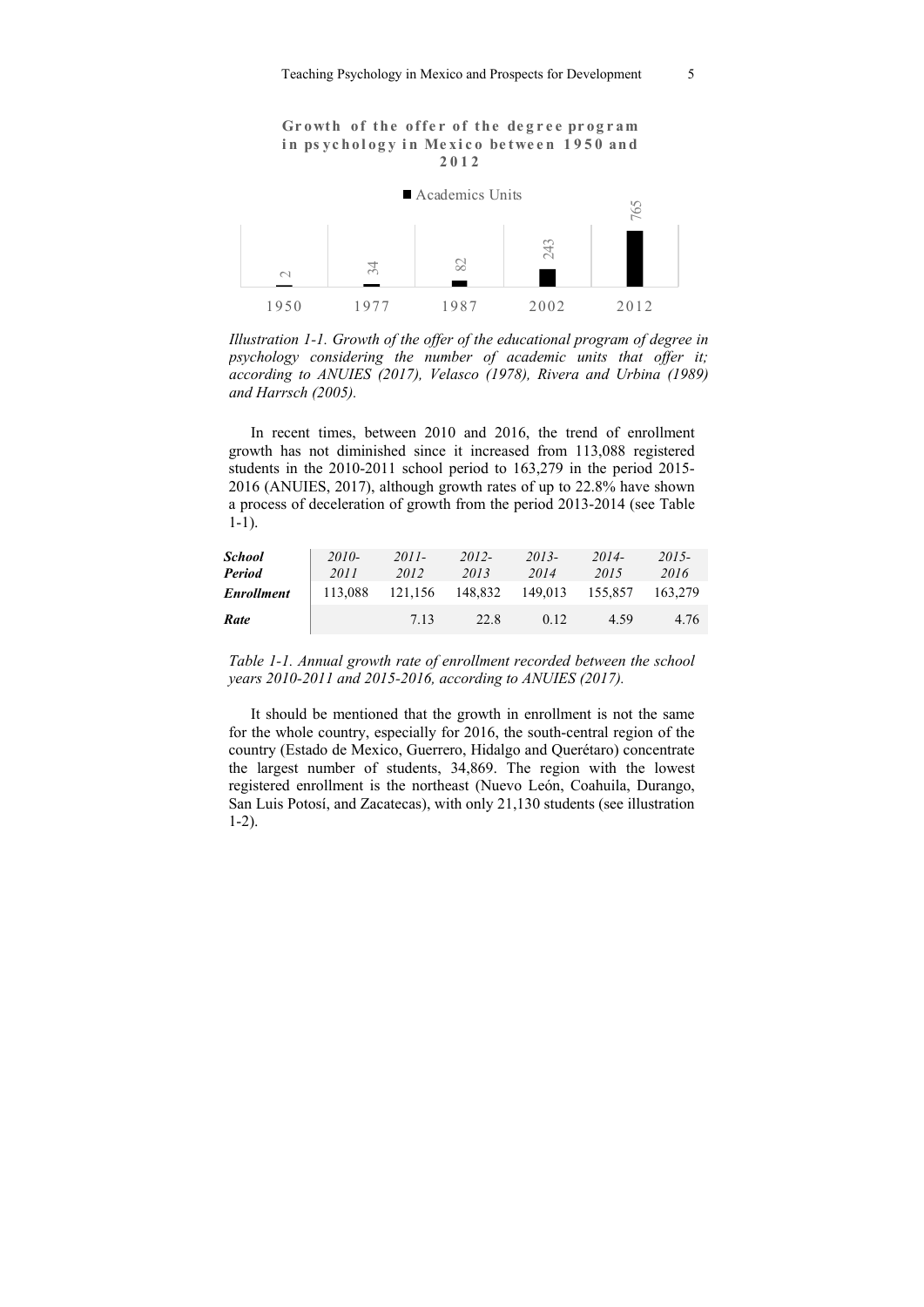#### Growth of the offer of the degree program in ps vchology in Mexico between 1950 and **2012**



*Illustration 1-1. Growth of the offer of the educational program of degree in psychology considering the number of academic units that offer it; according to ANUIES (2017), Velasco (1978), Rivera and Urbina (1989) and Harrsch (2005).* 

In recent times, between 2010 and 2016, the trend of enrollment growth has not diminished since it increased from 113,088 registered students in the 2010-2011 school period to 163,279 in the period 2015- 2016 (ANUIES, 2017), although growth rates of up to 22.8% have shown a process of deceleration of growth from the period 2013-2014 (see Table 1-1).

| School<br>Period  | $2010-$<br>2011 | $2011 -$<br>2012 | 2012-<br>2013 | $2013-$<br>2014 | $2014-$<br>2015 | 2015-<br>2016 |
|-------------------|-----------------|------------------|---------------|-----------------|-----------------|---------------|
| <b>Enrollment</b> | 113,088         | 121,156          | 148,832       | 149,013         | 155,857         | 163.279       |
| Rate              |                 | 713              | 22.8          | 0.12            | 4.59            | 4.76          |

| Table 1-1. Annual growth rate of enrollment recorded between the school |  |
|-------------------------------------------------------------------------|--|
| years $2010-2011$ and $2015-2016$ , according to ANUIES (2017).         |  |

It should be mentioned that the growth in enrollment is not the same for the whole country, especially for 2016, the south-central region of the country (Estado de Mexico, Guerrero, Hidalgo and Querétaro) concentrate the largest number of students, 34,869. The region with the lowest registered enrollment is the northeast (Nuevo León, Coahuila, Durango, San Luis Potosí, and Zacatecas), with only 21,130 students (see illustration 1-2).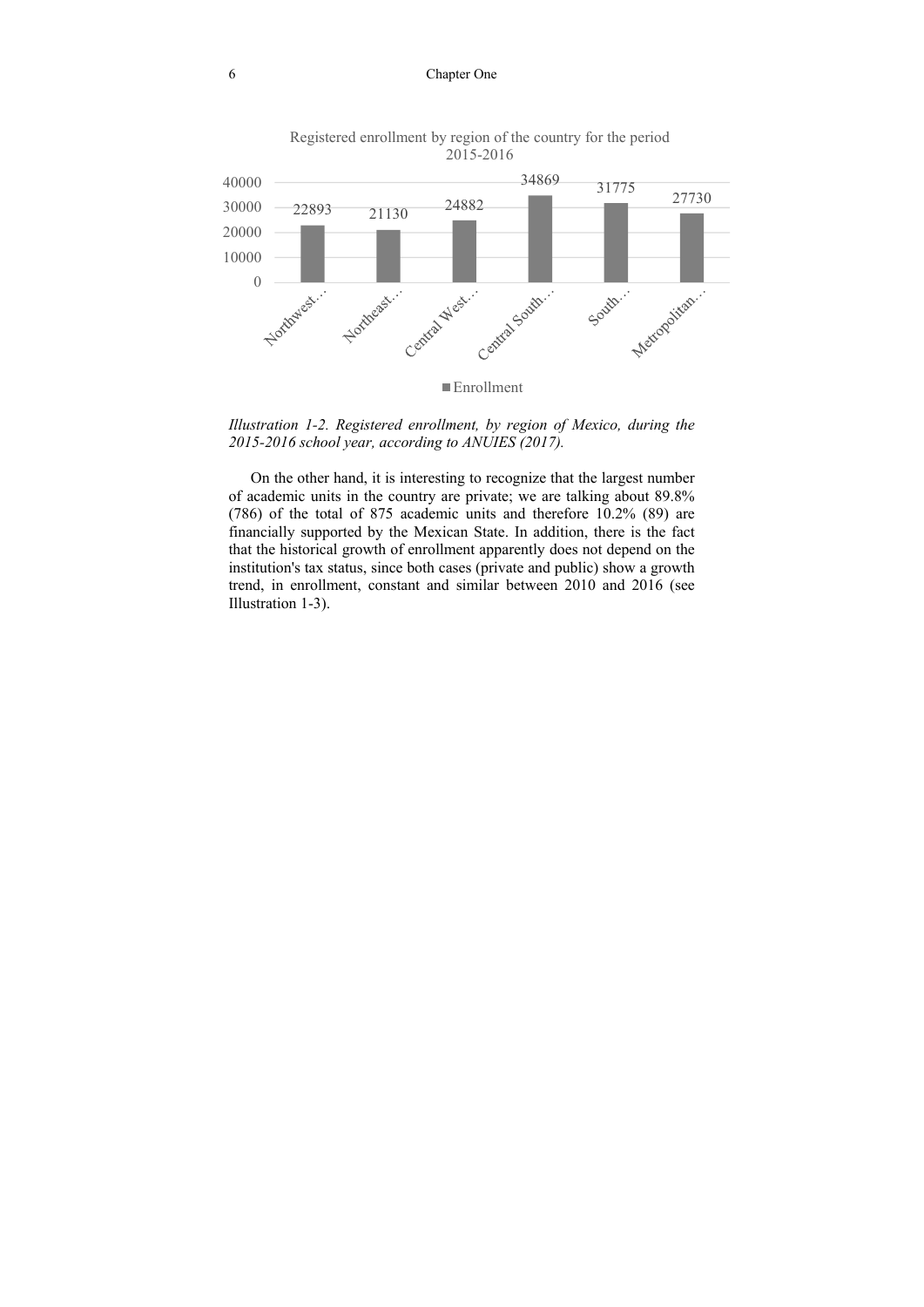#### 6 Chapter One



Registered enrollment by region of the country for the period 2015-2016

*Illustration 1-2. Registered enrollment, by region of Mexico, during the 2015-2016 school year, according to ANUIES (2017).* 

On the other hand, it is interesting to recognize that the largest number of academic units in the country are private; we are talking about 89.8% (786) of the total of 875 academic units and therefore 10.2% (89) are financially supported by the Mexican State. In addition, there is the fact that the historical growth of enrollment apparently does not depend on the institution's tax status, since both cases (private and public) show a growth trend, in enrollment, constant and similar between 2010 and 2016 (see Illustration 1-3).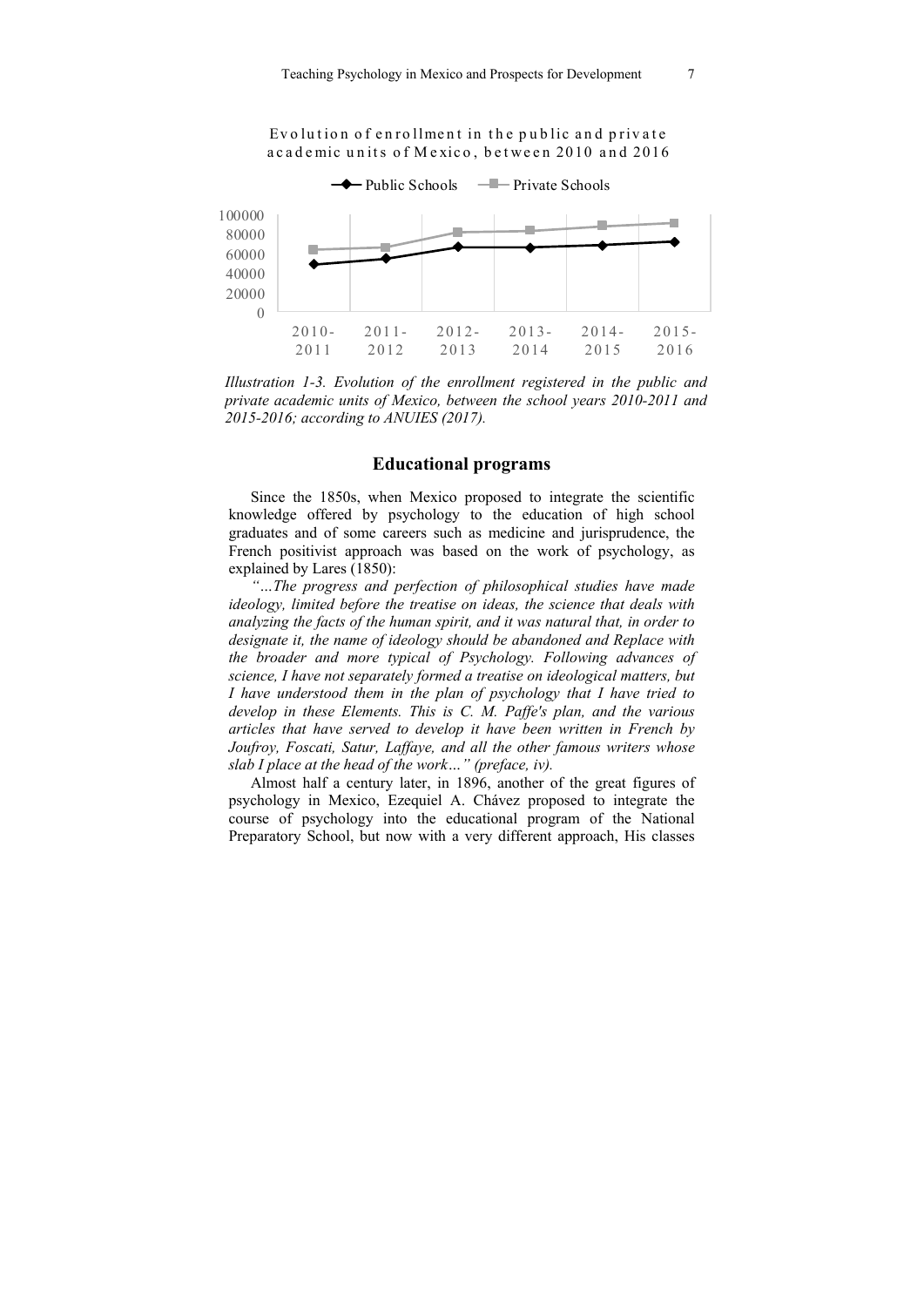

*Illustration 1-3. Evolution of the enrollment registered in the public and private academic units of Mexico, between the school years 2010-2011 and 2015-2016; according to ANUIES (2017).* 

### **Educational programs**

Since the 1850s, when Mexico proposed to integrate the scientific knowledge offered by psychology to the education of high school graduates and of some careers such as medicine and jurisprudence, the French positivist approach was based on the work of psychology, as explained by Lares (1850):

*"…The progress and perfection of philosophical studies have made ideology, limited before the treatise on ideas, the science that deals with analyzing the facts of the human spirit, and it was natural that, in order to designate it, the name of ideology should be abandoned and Replace with the broader and more typical of Psychology. Following advances of science, I have not separately formed a treatise on ideological matters, but I have understood them in the plan of psychology that I have tried to develop in these Elements. This is C. M. Paffe's plan, and the various articles that have served to develop it have been written in French by Joufroy, Foscati, Satur, Laffaye, and all the other famous writers whose slab I place at the head of the work…" (preface, iv).* 

Almost half a century later, in 1896, another of the great figures of psychology in Mexico, Ezequiel A. Chávez proposed to integrate the course of psychology into the educational program of the National Preparatory School, but now with a very different approach, His classes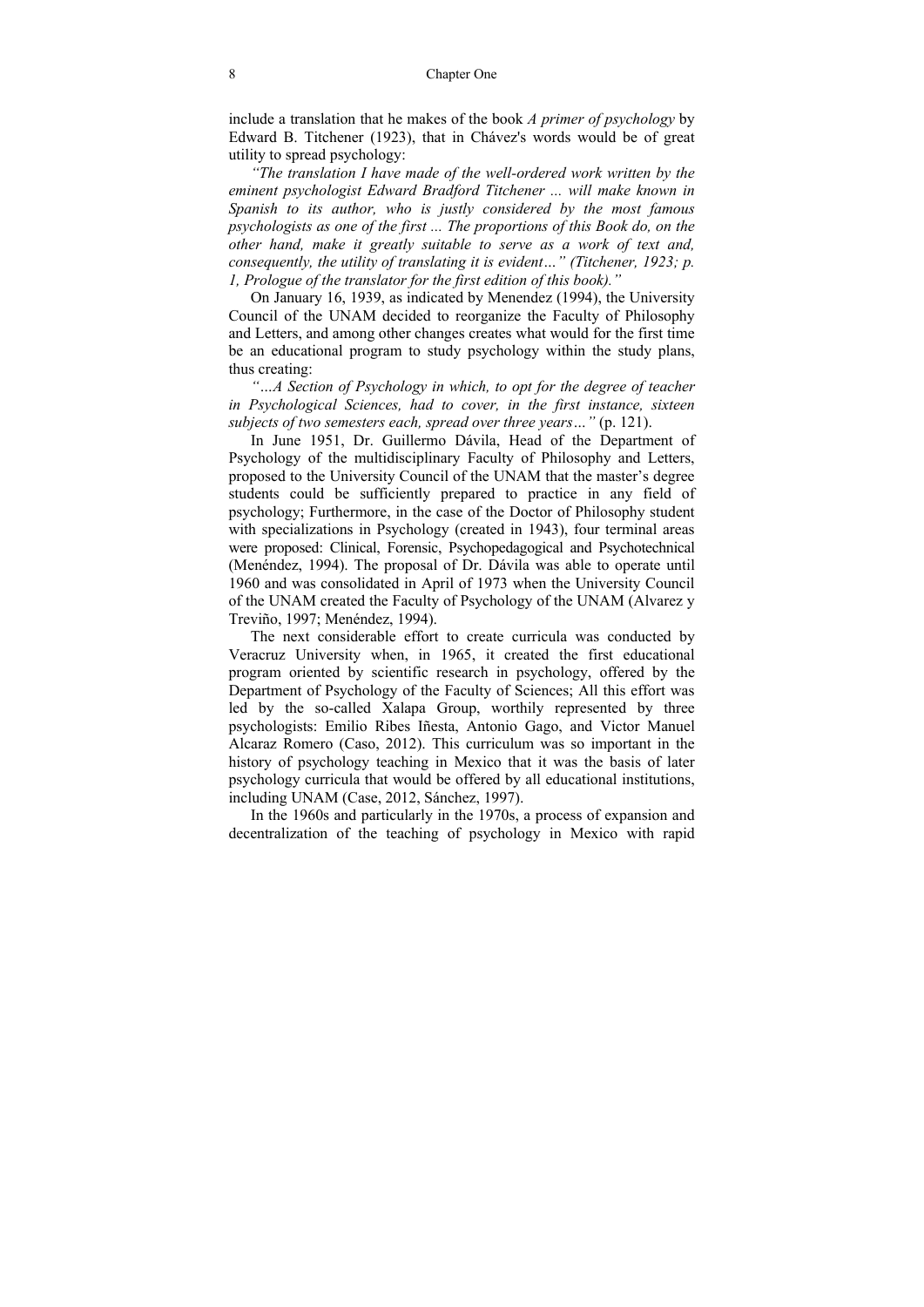include a translation that he makes of the book *A primer of psychology* by Edward B. Titchener (1923), that in Chávez's words would be of great utility to spread psychology:

*"The translation I have made of the well-ordered work written by the eminent psychologist Edward Bradford Titchener ... will make known in Spanish to its author, who is justly considered by the most famous psychologists as one of the first ... The proportions of this Book do, on the other hand, make it greatly suitable to serve as a work of text and, consequently, the utility of translating it is evident…" (Titchener, 1923; p. 1, Prologue of the translator for the first edition of this book)."* 

On January 16, 1939, as indicated by Menendez (1994), the University Council of the UNAM decided to reorganize the Faculty of Philosophy and Letters, and among other changes creates what would for the first time be an educational program to study psychology within the study plans, thus creating:

*"…A Section of Psychology in which, to opt for the degree of teacher in Psychological Sciences, had to cover, in the first instance, sixteen subjects of two semesters each, spread over three years…"* (p. 121).

In June 1951, Dr. Guillermo Dávila, Head of the Department of Psychology of the multidisciplinary Faculty of Philosophy and Letters, proposed to the University Council of the UNAM that the master's degree students could be sufficiently prepared to practice in any field of psychology; Furthermore, in the case of the Doctor of Philosophy student with specializations in Psychology (created in 1943), four terminal areas were proposed: Clinical, Forensic, Psychopedagogical and Psychotechnical (Menéndez, 1994). The proposal of Dr. Dávila was able to operate until 1960 and was consolidated in April of 1973 when the University Council of the UNAM created the Faculty of Psychology of the UNAM (Alvarez y Treviño, 1997; Menéndez, 1994).

The next considerable effort to create curricula was conducted by Veracruz University when, in 1965, it created the first educational program oriented by scientific research in psychology, offered by the Department of Psychology of the Faculty of Sciences; All this effort was led by the so-called Xalapa Group, worthily represented by three psychologists: Emilio Ribes Iñesta, Antonio Gago, and Victor Manuel Alcaraz Romero (Caso, 2012). This curriculum was so important in the history of psychology teaching in Mexico that it was the basis of later psychology curricula that would be offered by all educational institutions, including UNAM (Case, 2012, Sánchez, 1997).

In the 1960s and particularly in the 1970s, a process of expansion and decentralization of the teaching of psychology in Mexico with rapid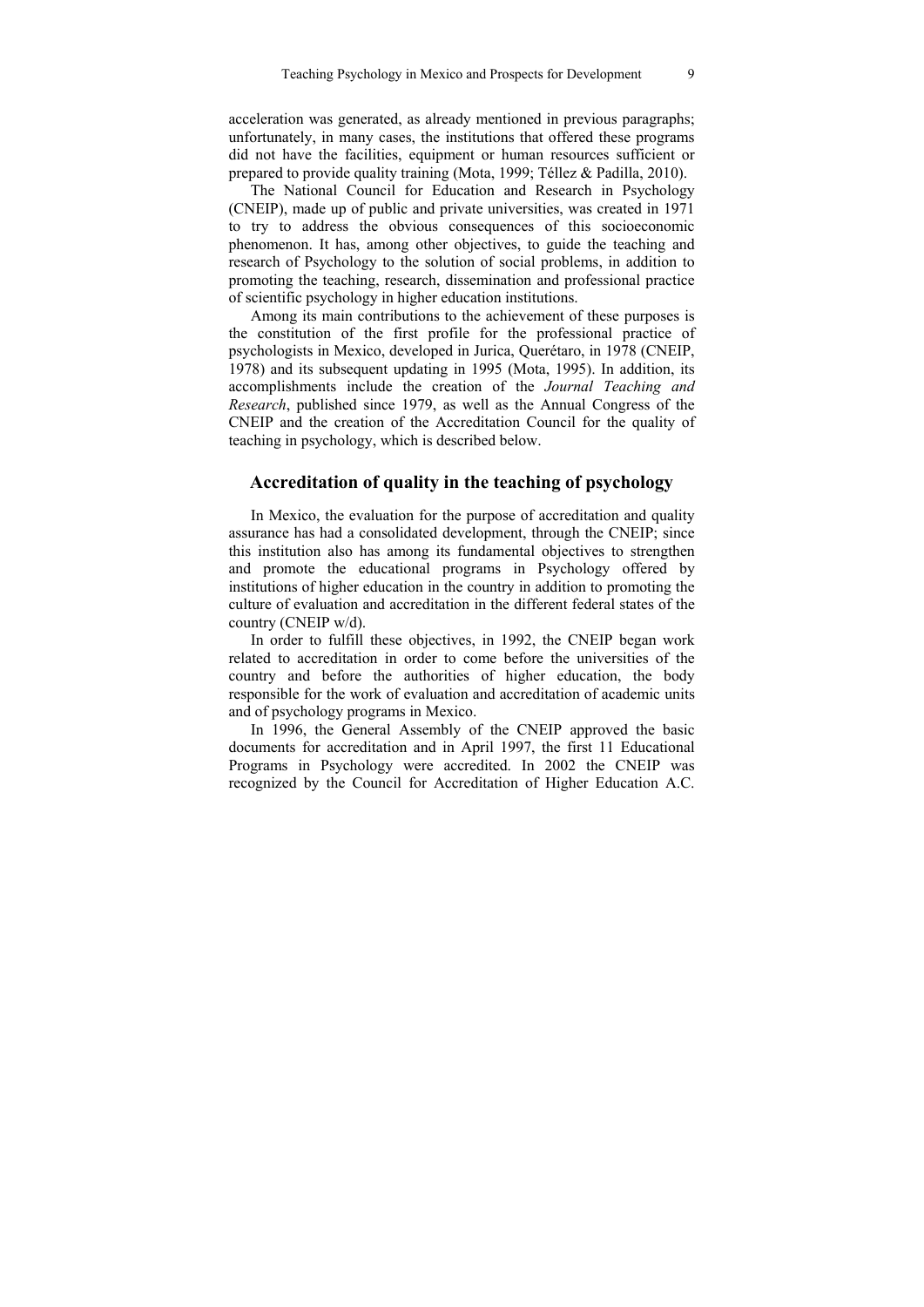acceleration was generated, as already mentioned in previous paragraphs; unfortunately, in many cases, the institutions that offered these programs did not have the facilities, equipment or human resources sufficient or prepared to provide quality training (Mota, 1999; Téllez & Padilla, 2010).

The National Council for Education and Research in Psychology (CNEIP), made up of public and private universities, was created in 1971 to try to address the obvious consequences of this socioeconomic phenomenon. It has, among other objectives, to guide the teaching and research of Psychology to the solution of social problems, in addition to promoting the teaching, research, dissemination and professional practice of scientific psychology in higher education institutions.

Among its main contributions to the achievement of these purposes is the constitution of the first profile for the professional practice of psychologists in Mexico, developed in Jurica, Querétaro, in 1978 (CNEIP, 1978) and its subsequent updating in 1995 (Mota, 1995). In addition, its accomplishments include the creation of the *Journal Teaching and Research*, published since 1979, as well as the Annual Congress of the CNEIP and the creation of the Accreditation Council for the quality of teaching in psychology, which is described below.

### **Accreditation of quality in the teaching of psychology**

In Mexico, the evaluation for the purpose of accreditation and quality assurance has had a consolidated development, through the CNEIP; since this institution also has among its fundamental objectives to strengthen and promote the educational programs in Psychology offered by institutions of higher education in the country in addition to promoting the culture of evaluation and accreditation in the different federal states of the country (CNEIP w/d).

In order to fulfill these objectives, in 1992, the CNEIP began work related to accreditation in order to come before the universities of the country and before the authorities of higher education, the body responsible for the work of evaluation and accreditation of academic units and of psychology programs in Mexico.

In 1996, the General Assembly of the CNEIP approved the basic documents for accreditation and in April 1997, the first 11 Educational Programs in Psychology were accredited. In 2002 the CNEIP was recognized by the Council for Accreditation of Higher Education A.C.